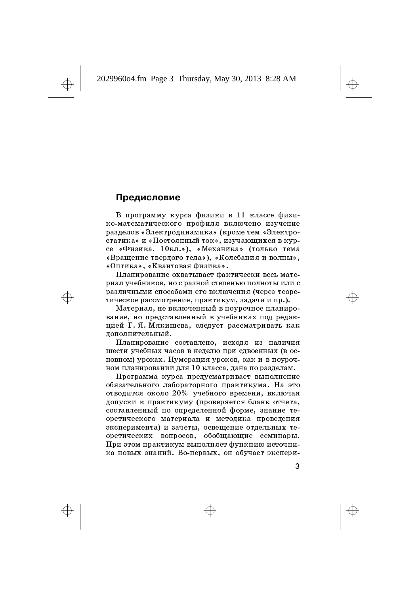#### Предисловие

В программу курса физики в 11 классе физико-математического профиля включено изучение разделов «Электродинамика» (кроме тем «Электростатика» и «Постоянный ток», изучающихся в курсе «Физика. 10кл.»), «Механика» (только тема «Вращение твердого тела»), «Колебания и волны», «Оптика», «Квантовая физика».

Планирование охватывает фактически весь материал учебников, но с разной степенью полноты или с различными способами его включения (через теоретическое рассмотрение, практикум, задачи и пр.).

Материал, не включенный в поурочное планирование, но представленный в учебниках под редакцией Г. Я. Мякишева, следует рассматривать как дополнительный.

Планирование составлено, исходя из наличия шести учебных часов в неделю при сдвоенных (в основном) уроках. Нумерация уроков, как и в поурочном планировании для 10 класса, дана по разделам.

Программа курса предусматривает выполнение обязательного лабораторного практикума. На это отводится около 20% учебного времени, включая допуски к практикуму (проверяется бланк отчета, составленный по определенной форме, знание теоретического материала и методика проведения эксперимента) и зачеты, освещение отдельных теоретических вопросов, обобщающие семинары. При этом практикум выполняет функцию источника новых знаний. Во-первых, он обучает экспери-

3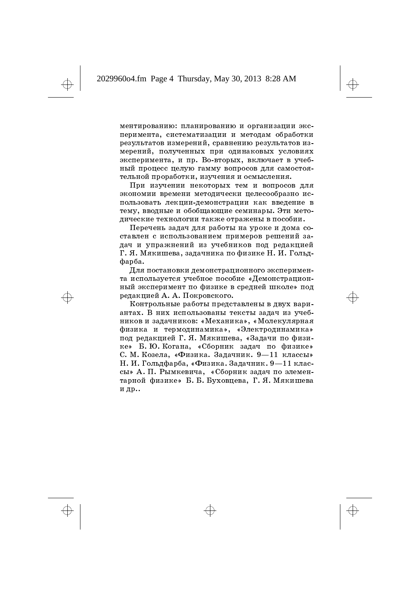# 2029960o4.fm Page 4 Thursday, May 30, 2013 8:28 AM

ментированию: планированию и организации эксперимента, систематизации и методам обработки результатов измерений, сравнению результатов измерений, полученных при одинаковых условиях эксперимента, и пр. Во-вторых, включает в учебный процесс целую гамму вопросов для самостоятельной проработки, изучения и осмысления.

При изучении некоторых тем и вопросов для экономии времени методически целесообразно использовать лекции-демонстрации как введение в тему, вводные и обобщающие семинары. Эти методические технологии также отражены в пособии.

Перечень задач для работы на уроке и дома составлен с использованием примеров решений задач и упражнений из учебников под редакцией Г. Я. Мякишева, задачника по физике Н. И. Гольдdapõa.

Для постановки демонстрационного эксперимента используется учебное пособие «Демонстрационный эксперимент по физике в средней школе» под редакцией А. А. Покровского.

Контрольные работы представлены в двух вариантах. В них использованы тексты задач из учебников и задачников: «Механика», «Молекулярная физика и термодинамика», «Электродинамика» под редакцией Г. Я. Мякишева, «Задачи по физике» Б. Ю. Когана, «Сборник задач по физике» С. М. Козела. «Физика. Залачник. 9-11 классы» Н. И. Гольдфарба, «Физика. Задачник. 9-11 классы» А. П. Рымкевича, «Сборник задач по элементарной физике» Б. Б. Буховцева, Г. Я. Мякишева и др..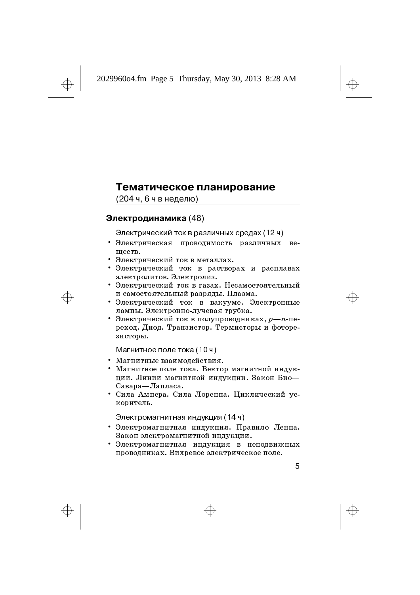# Тематическое планирование

(204 ч, 6 ч в неделю)

## Электродинамика (48)

Электрический ток в различных средах (12 ч)

- Электрическая проводимость различных вешеств.
- ществ.<br>• Электрический ток в металлах.
- Электрический ток в растворах и расплавах электролитов. Электролиз.
- Электрический ток в газах. Несамостоятельный и самостоятельный разряды. Плазма.
- Электрический ток в вакууме. Электронные лампы. Электронно-лучевая трубка.
- **Тематическое планирование**<br>
(204 ч, 6 ч в неделю)<br>
нектродинамика (48)<br>
Электрический ток в различных средах (12 ч)<br>
Электрический ток в различных средах (12 ч)<br>
электрический ток в металлах.<br>
Электрический ток в металл • Электрический ток в полупроводниках,  $p-n$ -переход. Диод. Транзистор. Термисторы и фоторезисторы.

Магнитное поле тока (10 ч)

- магнитные ноле тока (10 ч)<br>• Магнитные взаимодействия.
- Магнитное поле тока. Вектор магнитной индукции. Линии магнитной индукции. Закон Био— Савара-Лапласа.
- Сила Ампера. Сила Лоренца. Циклический ускоритель.

Электромагнитная индукция (14 ч)

- Электромагнитная индукция. Правило Ленца.<br>Законалоктромарнитной индикции Закон электромагнитной индукции.
- Электромагнитная индукция в неподвижных проводниках. Вихревое электрическое поле.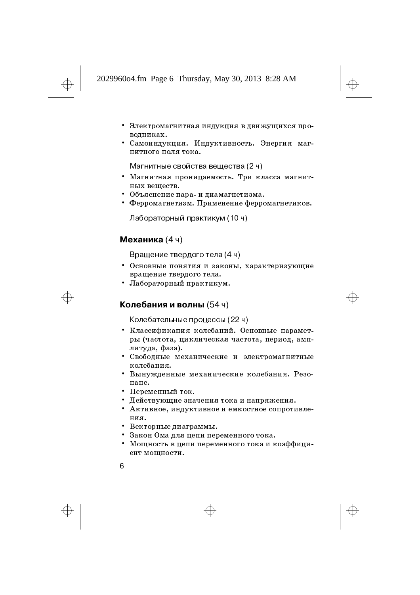- Электромагнитная индукция в движущихся проводниках.
- Самоиндукция. Индуктивность. Энергия магнитного поля тока.

Магнитные свойства вещества (2 ч)

- Магнитная проницаемость. Три класса магнитных веществ.
- Объяснение пара- и диамагнетизма.
- Ферромагнетизм. Применение ферромагнетиков.

Лабораторный практикум (10 ч)

#### Механика (4 ч)

Вращение твердого тела (4 ч)

- Основные понятия и законы, характеризующие вращение твердого тела.
- Лабораторный практикум.

## Колебания и волны (54 ч)

Колебательные процессы (22 ч)

- Классификация колебаний. Основные параметры (частота, циклическая частота, период, амплитуда, фаза).
- Свободные механические и электромагнитные колебания.
- Вынужденные механические колебания. Резонанс.
- Переменный ток.
- Действующие значения тока и напряжения.
- Активное, индуктивное и емкостное сопротивления.
- Векторные диаграммы.
- Закон Ома для цепи переменного тока.
- Мощность в цепи переменного тока и коэффици- $\bullet$ ент мощности.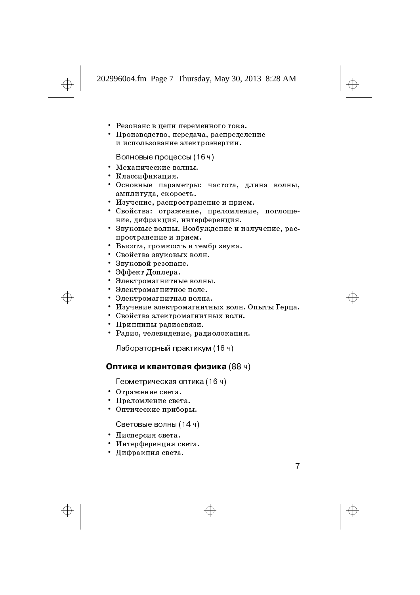- Резонанс в цепи переменного тока.
- Производство, передача, распределение и использование электроэнергии.

Волновые процессы (16 ч)

- Механические волны.  $\ddot{\phantom{a}}$
- Классификация.
- Основные параметры: частота, длина волны, амплитуда, скорость.
- амплитуда, скорость.<br>• Изучение, распространение и прием.
- Свойства: отражение, преломление, поглощение, дифракция, интерференция.
- Звуковые волны. Возбуждение и излучение, распространение и прием.
- пространение и прием.<br>• Высота, громкость и тембр звука.
- Бысота, громкость и теме<br>• Свойства звуковых волн.  $\ddot{\phantom{a}}$
- Звуковой резонанс.
- звуковои резонан<br>• Эффект Доплера.  $\ddot{\phantom{a}}$
- Электромагнитные волны.<br>• Электромагнитное поле
- Электромагнитное поле.<br>• Электромагнитная волн
- Электромагнитная волна.
- Электромагнитная волна.<br>• Изучение электромагнитных волн. Опыты Герца.  $\ddot{\cdot}$
- Свойства электромагнитных волн.<br>• Принципи радиосрязи
- Принципы радиосвязи.
- Радио, телевидение, радиолокация.

Лабораторный практикум (16 ч)

#### Оптика и квантовая физика (88 ч)

Геометрическая оптика (16 ч)

- Отражение света.
- Отражение света.<br>• Преломление света.
- Оптические приборы.

Световые волны (14 ч)

- Дисперсия света.  $\ddot{\cdot}$
- Интерференция света.
- Дифракция света.

\*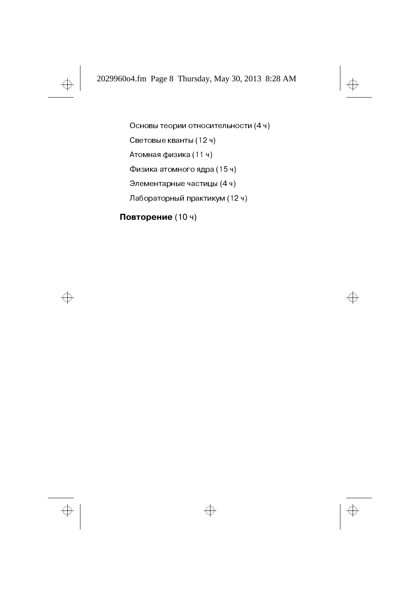$\Rightarrow$ 

 $\Rightarrow$ 

Основы теории относительности (4 ч) Световые кванты (12 ч) Атомная физика (11 ч) Физика атомного ядра (15 ч) Элементарные частицы (4 ч) Лабораторный практикум (12 ч)

 $\overline{\bigoplus}$ 

# Повторение (10 ч)

 $\overline{\bigoplus}$ 

 $\bigoplus$ 

 $\overline{\bigoplus}$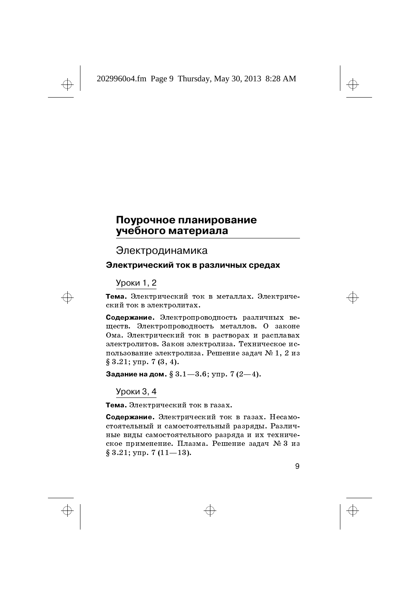$\oplus$ 

# Поурочное планирование учебного материала

Электродинамика

## Электрический ток в различных средах

Уроки 1, 2

Тема. Электрический ток в металлах. Электрический ток в электролитах.

Содержание. Электропроводность различных веществ. Электропроводность металлов. О законе Ома. Электрический ток в растворах и расплавах электролитов. Закон электролиза. Техническое использование электролиза. Решение задач № 1, 2 из  $$3.21; ymp. 7(3, 4).$ 

Задание на дом.  $\S~3.1\!-\!3.6;$  упр.  $7~(2\!-\!4).$ 

<u>Уроки 3, 4</u>

Тема. Электрический ток в газах.

Содержание. Электрический ток в газах. Несамостоятельный и самостоятельный разряды. Различные виды самостоятельного разряда и их техническое применение. Плазма. Решение задач № 3 из  $§ 3.21$ ; ynp. 7 (11-13).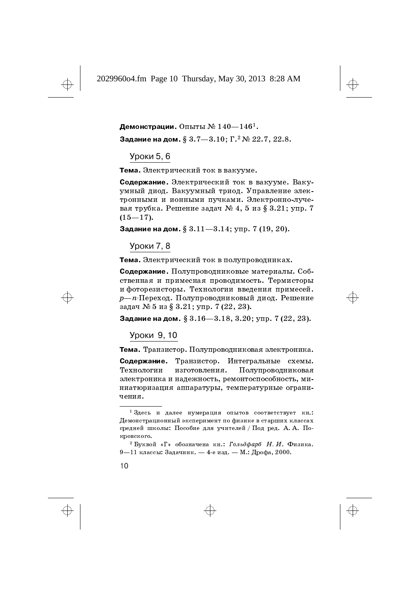**Демонстрации.** Опыты №  $140-146^{\rm 1}.$ 

Задание на дом. §  $3.7{-}3.10; \Gamma.^2$  №  $22.7,$   $22.8.$ 

Уроки 5, 6

Тема. Электрический ток в вакууме.

Содержание. Электрический ток в вакууме. Вакуумный диод. Вакуумный триод. Управление электронными и ионными пучками. Электронно-лучевая трубка. Решение задач № 4, 5 из § 3.21; упр. 7  $(15-17).$ 

Задание на дом.  $\S~3.11{-}3.14;$  упр.  $7\,(19,\,20).$ 

Уроки 7, 8

Тема. Электрический ток в полупроводниках.

Содержание. Полупроводниковые материалы. Собственная и примесная проводимость. Термисторы и фоторезисторы. Технологии введения примесей.  $p$ — n•Переход. Полупроводниковый диод. Решение задач № 5 из § 3.21; упр. 7 (22, 23).

Задание на дом.  $\S~3.16{-}3.18, \, 3.20; \, {\rm ymp}.$  7  $(22, \, 23).$ 

Уроки 9, 10

Тема. Транзистор. Полупроводниковая электроника.

Содержание. Транзистор. Интегральные схемы. Технологии изготовления. Полупроводниковая электроника и надежность, ремонтоспособность, миниатюризация аппаратуры, температурные ограничения.

<sup>&</sup>lt;sup>2</sup> Буквой «Г» обозначена кн.: Гольдфарб Н.И. Физика. 9—11 классы: Задачник. — 4-е изд. — М.: Дрофа, 2000.



 $^1$ Здесь и далее нумерация опытов соответствует кн.: Демонстрационный эксперимент по физике в старших классах средней школы: Пособие для учителей / Под ред. А. А. Покровского.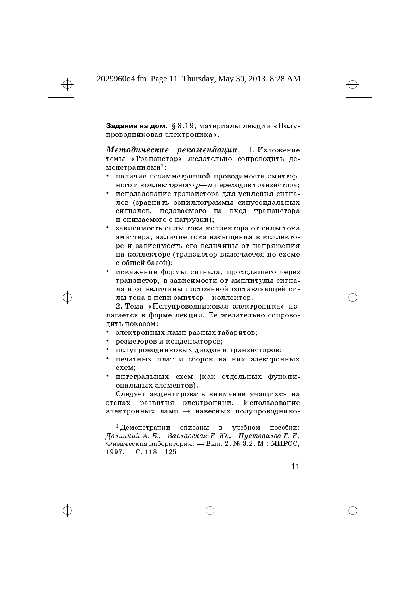Задание на дом. §  $3.19$ , материалы лекции «Полупроводниковая электроника».

Методические рекомендации. 1.Изложение темы «Транзистор» желательно сопроводить детемы «транзис<br>монстрациями<sup>1</sup>:

- наличие несимметричной проводимости эмиттерного и коллекторного  $p$ — п-переходов транзистора;  $\ddot{\phantom{a}}$
- использование транзистора для усиления сигналов (сравнить осциллограммы синусоидальных сигналов, подаваемого на вход транзистора и снимаемого с нагрузки);
- зависимость силы тока коллектора от силы тока эмиттера, наличие тока насыщения в коллекторе и зависимость его величины от напряжения на коллекторе (транзистор включается по схеме с общей базой);
- искажение формы сигнала, проходящего через транзистор, в зависимости от амплитуды сигнала и от величины постоянной составляющей силы тока в цепи эмиттер-коллектор.

2. Тема «Полупроводниковая электроника» излагается в форме лекции. Ее желательно сопроволагается в фо<br>дить показом:  $\frac{\pi}{\cdot}$ 

- электронных ламп разных габаритов;  $\ddot{\cdot}$
- резисторов и конденсаторов;  $\ddot{\cdot}$
- полупроводниковых диодов и транзисторов;
- печатных плат и сборок на них электронных cxem;  $\ddot{\phantom{a}}$
- интегральных схем (как отдельных функциональных элементов).

Следует акцентировать внимание учащихся на этапах развития электроники. Использование электронных ламп  $\rightarrow$  навесных полупроводнико-

<sup>1</sup> Демонстрации описаны в учебном пособии: Долицкий А. Б., Заславская Е. Ю., Пустовалов Г. Е. Физическая лаборатория. — Вып. 2. № 3.2. М.: МИРОС,  $1997. - C. 118 - 125.$ 

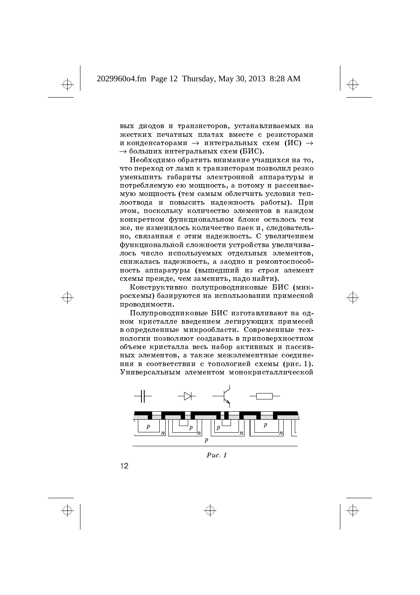вых диодов и транзисторов, устанавливаемых на жестких печатных платах вместе с резисторами и конденсаторами  $\;\rightarrow\;$ интегральных схем (ИС)  $\;\rightarrow\;$  $\rightarrow$  больших интегральных схем (БИС).

Необходимо обратить внимание учащихся на то, что переход от ламп к транзисторам позволил резк<mark>о</mark> уменьшить габариты электронной аппаратуры и потребляемую ею мощность, а потому и рассеиваемую мощность (тем самым облегчить условия теплоотвода и повысить надежность работы). При этом, поскольку количество элементов в каждом конкретном функциональном блоке осталось тем же, не изменилось количество паек и, следовательно, связанная с этим надежность. С увеличением функциональной сложности устройства увеличивалось число используемых отдельных элементов, снижалась надежность, а заодно и ремонтоспособность аппаратуры (вышедший из строя элемент схемы прежде, чем заменить, надо найти).

Конструктивно полупроводниковые БИС (микросхемы) базируются на использовании примесной проводимости.

Полупроводниковые БИС изготавливают на одном кристалле введением легирующих примесей в определенные микрообласти. Современные технологии позволяют создавать в приповерхностном объеме кристалла весь набор активных и пассивных элементов, а также межэлементные соединения в соответствии с топологией схемы (рис. 1). Универсальным элементом монокристаллической



 $Puc.$  1

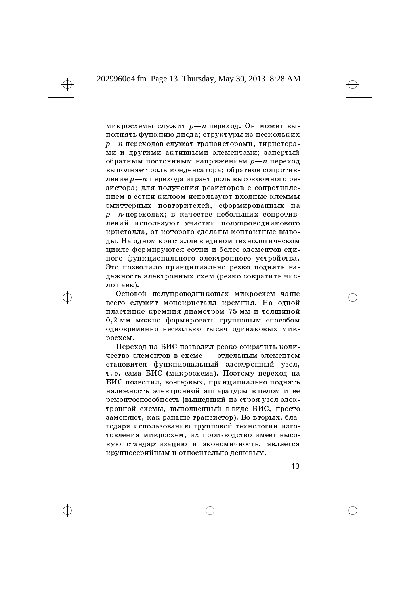микросхемы служит  $p$  — n переход. Он может выполнять функцию диода; структуры из нескольких  $p$ —n·переходов служат транзисторами, тиристорами и другими активными элементами; запертый обратным постоянным напряжением  $p$  —  $n$  переход выполняет роль конденсатора; обратное сопротивление  $p$ — п-перехода играет роль высокоомного резистора; для получения резисторов с сопротивлением в сотни килоом используют входные клеммы эмиттерных повторителей, сформированных на  $p$ — n переходах; в качестве небольших сопротивлений используют участки полупроводникового кристалла, от которого сделаны контактные выводы. На одном кристалле в едином технологическом цикле формируются сотни и более элементов единого функционального электронного устройства. Это позволило принципиально резко поднять надежность электронных схем (резко сократить число паек).

Основой полупроводниковых микросхем чаще всего служит монокристалл кремния. На одной пластинке кремния диаметром 75 мм и толщиной  $0,2$  мм можно формировать групповым способом одновременно несколько тысяч одинаковых микpocxem.

Переход на БИС позволил резко сократить количество элементов в схеме - отдельным элементом становится функциональный электронный узел, т. е. сама БИС (микросхема). Поэтому переход на БИС позволил, во-первых, принципиально поднять надежность электронной аппаратуры вцелом и ее ремонтоспособность (вышедший из строя узел электронной схемы, выполненный в виде БИС, просто заменяют, как раньше транзистор). Во-вторых, благодаря использованию групповой технологии изготовления микросхем, их производство имеет высокую стандартизацию и экономичность, является крупносерийным и относительно дешевым.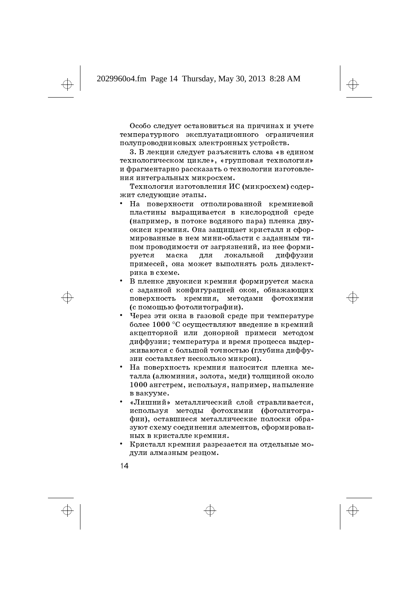Особо следует остановиться на причинах и учете температурного эксплуатационного ограничения полупроводниковых электронных устройств.

3. В лекции следует разъяснить слова «в едином технологическом цикле», «групповая технология» и фрагментарно рассказать о технологии изготовления интегральных микросхем.

Технология изготовления ИС (микросхем) содержит следующие этапы.

- На поверхности отполированной кремниевой пластины выращивается в кислородной среде (например, в потоке водяного пара) пленка двуокиси кремния. Она защищает кристалл и сформированные в нем мини-области с заданным типом проводимости от загрязнений, из нее формируется маска для локальной диффузии примесей, она может выполнять роль диэлектрика в схеме.
- В пленке двуокиси кремния формируется маска с заданной конфигурацией окон, обнажающих поверхность кремния, методами фотохимии (с помощью фотолитографии).
- Через эти окна в газовой среде при температуре более 1000 °С осуществляют введение в кремний акцепторной или донорной примеси методом диффузии; температура и время процесса выдерживаются с большой точностью (глубина диффузии составляет несколько микрон).
- На поверхность кремния наносится пленка металла (алюминия, золота, меди) толщиной около 1000 ангстрем, используя, например, напыление в вакууме.
- «Лишний» металлический слой стравливается, используя методы фотохимии (фотолитографии), оставшиеся металлические полоски образуют схему соединения элементов, сформированных в кристалле кремния.
- Кристалл кремния разрезается на отдельные модули алмазным резцом.
- 14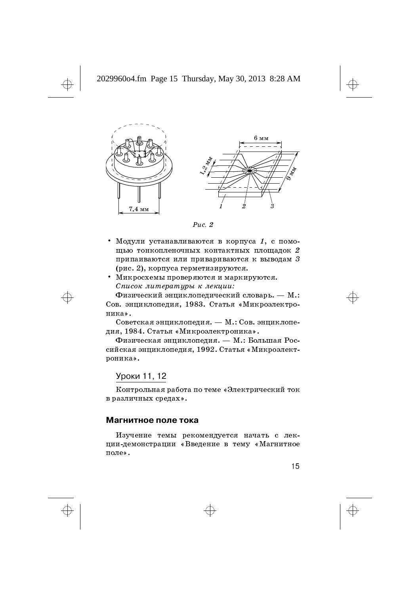# 2029960o4.fm Page 15 Thursday, May 30, 2013 8:28 AM





- Модули устанавливаются в корпуса 1, с помощью тонкопленочных контактных площадок  $\it 2$ припаиваются или привариваются к выводам  $3$ (рис. 2), корпуса герметизируются.
- Микросхемы проверяются и маркируются. Список литературы к лекции:

Физический энциклопедический словарь. — М.: Сов. энциклопедия, 1983. Статья «Микроэлектроника».

Советская энциклопедия. — М.: Сов. энциклопедия, 1984. Статья «Микроэлектроника».

Физическая энциклопедия. — М.: Большая Российская энциклопедия, 1992. Статья «Микроэлектроника».

## Уроки 11, 12

Контрольная работа по теме «Электрический ток в различных средах».

#### Магнитное поле тока

Изучение темы рекомендуется начать с лекции-демонстрации «Введение в тему «Магнитное поле».

Ö, r<br>M

 $\oplus$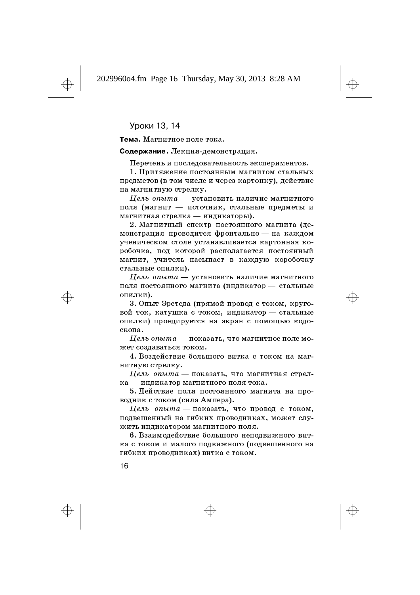Уроки 13, 14

Тема. Магнитное поле тока.

Содержание. Лекция-демонстрация.

Перечень и последовательность экспериментов.

1. Притяжение постоянным магнитом стальных предметов (в том числе и через картонку), действие на магнитную стрелку<mark>.</mark>

Цель опыта — установить наличие магнитного поля (магнит — источник, стальные предметы и магнитная стрелка — индикаторы).

2. Магнитный спектр постоянного магнита (демонстрация проводится фронтально — на каждом ученическом столе устанавливается картонная коробочка, под которой располагается постоянный магнит, учитель насыпает в каждую коробочку стальные опилки).

 $\mu$ ель опыта — установить наличие магнитного поля постоянного магнита (индикатор — стальные опилки).

3. Опыт Эрстеда (прямой провод с током, круговой ток, катушка с током, индикатор — стальные опилки) проецируется на экран с помощью кодо- $\alpha$ копа.

 $\emph{U}$ ель опыта — показать, что магнитное поле может создаваться током.

4. Воздействие большого витка с током на магнитную стрелку.

 $\emph{H}$ ель опыта — показать, что магнитная стрелка — индикатор магнитного поля тока.

5. Действие поля постоянного магнита на проводник с током (сила Ампера).

 $\emph{H}$ ель опыта — показать, что провод с током, подвешенный на гибких проводниках, может служить индикатором магнитного поля.

6. Взаимодействие большого неподвижного витка с током и малого подвижного (подвешенного на гибких проводниках) витка с током.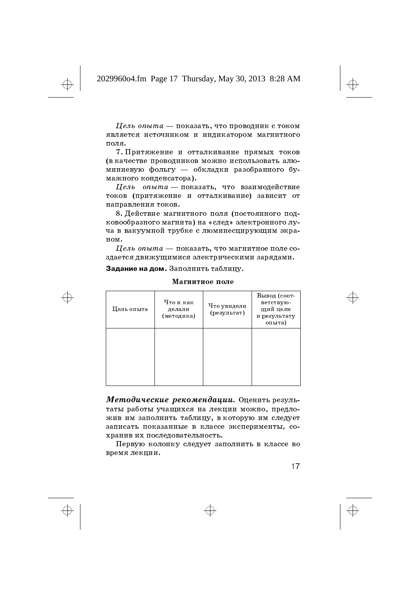# 2029960o4.fm Page 17 Thursday, May 30, 2013 8:28 AM

 $\emph{H}$ ель опыта — показать, что проводник с током является источником и индикатором магнитного поля.

7. Притяжение и отталкивание прямых токов (в качестве проводников можно использовать алюминиевую фольгу — обкладки разобранного бумажного конденсатора).

 $\emph{H}$ ель опыта — показать, что взаимодействие токов (притяжение и отталкивание) зависит от направления токов.

8. Действие магнитного поля (постоянного подковообразного магнита) на «след» электронного луча в вакуумной трубке с люминесцирующим экраном.

 $\emph{H}$ ель опыта — показать, что магнитное поле создается движущимися электрическими зарядами.

Задание на дом. Заполнить таблицу.

| Цель опыта | Что и как<br>делали<br>(методика) | Что увидели<br>(результат) | Вывод (соот-<br>ветствую-<br>щий цели<br>и результату<br>опыта) |
|------------|-----------------------------------|----------------------------|-----------------------------------------------------------------|
|            |                                   |                            |                                                                 |

#### Магнитное пол<mark>е</mark>

 $\bm{M}$ етодические рекомендации. Оценить результаты работы учащихся на лекции можно, предложив им заполнить таблицу, в которую им следует записать показанные в классе эксперименты, сохранив их последовательность.

Первую колонку следует заполнить в классе во время лекции.

17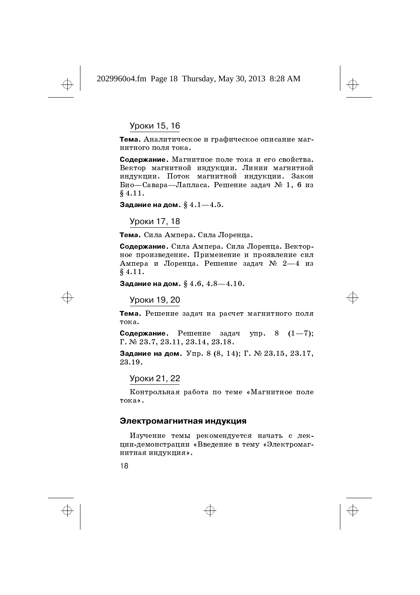↔

# Уроки 15, 16

Тема. Аналитическое и графическое описание магнитного поля тока.

Содержание. Магнитное поле тока и его свойства. Вектор магнитной индукции. Линии магнитной индукции. Поток магнитной индукции. Закон Био-Савара-Лапласа. Решение задач № 1, 6 из  $§ 4.11.$ 

Задание на дом.  $\S~4.1{-}4.5.$ 

Уроки 17, 18

Тема. Сила Ампера. Сила Лоренца.

Содержание. Сила Ампера. Сила Лоренца. Векторное произведение. Применение и проявление сил Ампера и Лоренца. Решение задач № 2-4 из  $§ 4.11.$ 

Задание на дом.  $\S~4.6,$   $4.8{-}4.10.$ 

#### Уроки 19, 20

Тема. Решение задач на расчет магнитного поля тока.

Содержание. Решение задач упр. 8  $(1-7);$  $\Gamma$ . No 23.7, 23.11, 23.14, 23.18.

Задание на дом.  $\,{\rm Vnp.}$   $\,8$   $(8,\,14);$   $\Gamma.$   $\,$   $\,$   $\,23.15,\,23.17,$ 23.19.

Уроки 21, 22

Контрольная работа по теме «Магнитное поле тока».

#### Электромагнитная индукция

Изучение темы рекомендуется начать с лекции-демонстрации «Введение в тему «Электромагнитная индукция».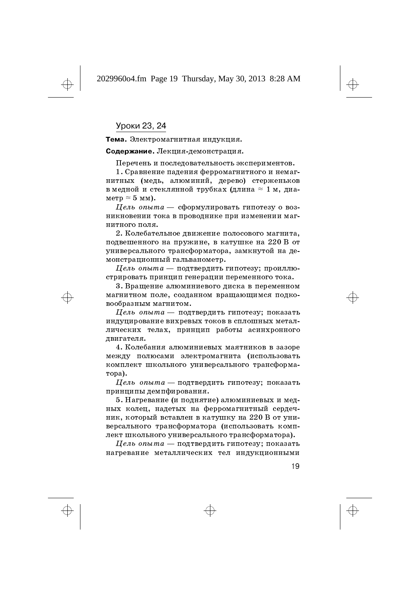Уроки 23, 24

Тема. Электромагнитная индукция.

Содержание. Лекция-демонстрация.

Перечень и последовательность экспериментов.

1. Сравнение падения ферромагнитного и немагнитных (медь, алюминий, дерево) стерженьков нитных (медь, алюминии, дерево) стерженьков<br>в медной и стеклянной трубках (длина ≈ 1 м, диа $merp \approx 5$  MM).

 $\mu$ ель опыта — сформулировать гипотезу о возникновении тока в проводнике при изменении магнитного поля.

2. Колебательное движение полосового магнита, подвешенного на пружине, в катушке на  $220$  B от универсального трансформатора, замкнутой на демонстрационный гальванометр.

 $\mu$ ель опыта — подтвердить гипотезу; проиллюстрировать принцип генерации переменного тока.

3. Вращение алюминиевого диска в переменном магнитном поле, созданном вращающимся подковообразным магнитом.

 $\emph{H}$ ель опыта — подтвердить гипотезу; показать индуцирование вихревых токов в сплошных металлических телах, принцип работы асинхронного двигателя.

4. Колебания алюминиевых маятников в зазоре между полюсами электромагнита (использовать комплект школьного универсального трансформа-Topa).

 $\emph{H}$ ель опыта — подтвердить гипотезу; показать принципы демпфирования.

5. Нагревание (и поднятие) алюминиевых и медных колец, надетых на ферромагнитный сердечник, который вставлен в катушку на  $220$  В от универсального трансформатора (использовать комплект школьного универсального трансформатора).

 $\emph{H}$ ель опыта — подтвердить гипотезу; показать нагревание металлических тел индукционным<mark>и</mark>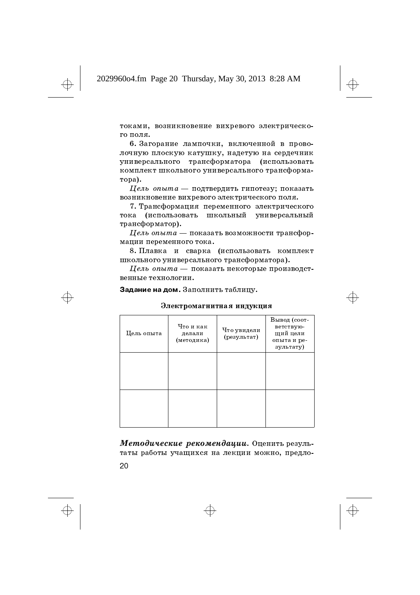токами, возникновение вихревого электрического поля.

6. Загорание лампочки, включенной в проволочную плоскую катушку, надетую на сердечник универсального трансформатора (использовать комплект школьного универсального трансформа-Topa).

 $\emph{H}$ ель опыта — подтвердить гипотезу; показать возникновение вихревого электрического поля.

7. Трансформация переменного электрического тока (использовать школьный универсальный трансформатор).

 $\emph{U}$ ель опыта — показать возможности трансформации переменного тока.

8. Плавка и сварка (использовать комплект школьного универсального трансформатора).

 $\emph{H}$ ель опыт $a$  — показать некоторые производственные технологии.

#### Задание на дом. Заполнить таблицу.

# Цель опыта Что и как дел ал <mark>и</mark> (методика) Что увидели (результат) Вывод (соответствующий цели опыта и результату)

Электромагнитная индукция

 $\bm{M}$ етодические рекомендации. Оценить результаты работы учащихся на лекции можно, предло-

20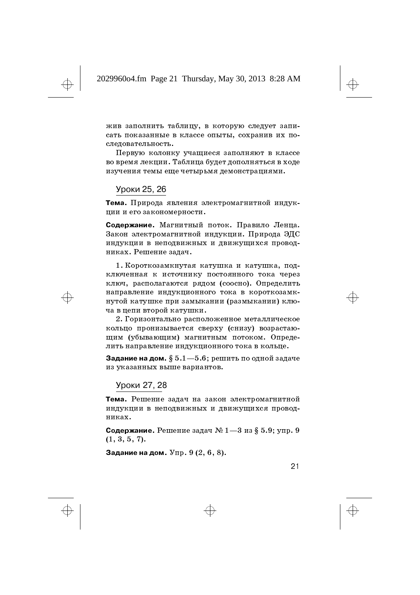жив заполнить таблицу, в которую следует записать показанные в классе опыты, сохранив их последовательность.

Первую колонку учащиеся заполняют в классе во время лекции. Таблица будет дополняться в ходе изучения темы еще четырьмя демонстрациями.

#### Уроки 25, 26

Тема. Природа явления электромагнитной индукции и его закономерности.

Содержание. Магнитный поток. Правило Ленца. Закон электромагнитной индукции. Природа ЭДС индукции в неподвижных и движущихся проводниках. Решение задач.

1. Короткозамкнутая катушка и катушка, подключенная к источнику постоянного тока через ключ, располагаются рядом (соосно). Определить направление индукционного тока в короткозамкнутой катушке при замыкании (размыкании) ключа в цепи второй катушки.

2. Горизонтально расположенное металлическое кольцо пронизывается сверху (снизу) возрастающим (убывающим) магнитным потоком. Определить направление индукционного тока в кольце.

**Задание на дом.** §  $5.1\!-\!5.6;$  решить по одной задаче из указанных выше вариантов.

Уроки 27, 28

Тема. Решение задач на закон электромагнитной индукции в неподвижных и движущихся проводниках.

**Содержание.** Решение задач № 1—3 из § 5.9; упр. 9  $(1, 3, 5, 7)$ .

Задание на дом.  $\mathtt{Vnp.}$   $9$   $(2,$   $6,$   $8).$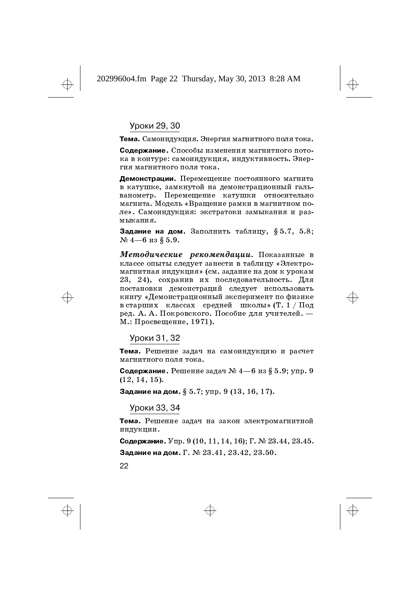# Уроки 29, 30

Тема. Самоиндукция. Энергия магнитного поля тока.

Содержание. Способы изменения магнитного потока в контуре: самоиндукция, индуктивность. Энергия магнитного поля тока.

**Демонстрации**. Перемещение постоянного магнита в катушке, замкнутой на демонстрационный гальванометр. Перемещение катушки относительно магнита. Модель «Вращение рамки в магнитном поле». Самоиндукция: экстратоки замыкания и размыкания.

Задание на дом. Заполнить таблицу,  $\S~5.7,~5.8;$  $N<sup>o</sup>$  4 — 6 из § 5.9.

Методические рекомендации. Показанные в классе опыты следует занести в таблицу «Электромагнитная индукция» (см. задание на дом к урокам 23, 24), сохранив их последовательность. Для постановки демонстраций следует использовать книгу «Демонстрационный эксперимент по физике в старших классах средней школы»(Т. 1 / Под ред. А. А. Покровского. Пособие для учителей. —  $M$ .: Просвещение, 1971).

# Уроки 31, 32

Тема. Решение задач на самоиндукцию и расчет магнитного поля тока.

**Содержание.** Решение задач № 4—6 из § 5.9; упр. 9  $(12, 14, 15)$ .

Задание на дом.  $\S~5.7;$   $\rm ymp.~9$   $(13,16,17).$ 

#### Уроки 33, 34

Тема. Решение задач на закон электромагнитной индукции.

Содержание. Упр. 9 (10, 11, 14, 16); Г. № 23.44, 23.45. Задание на дом.  $\Gamma$ . №  $23.41, \, 23.42, \, 23.50.$ 

22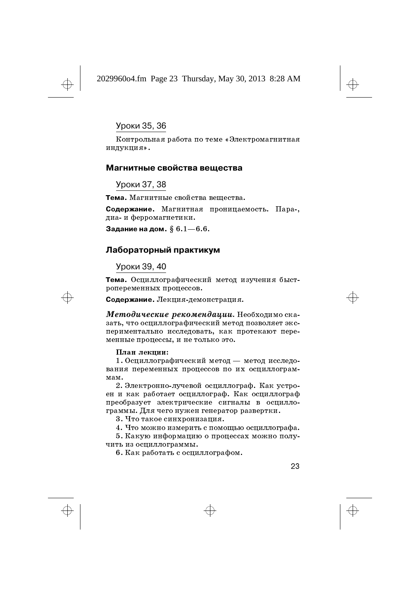Уроки 35, 36

Контрольная работа по теме «Электромагнитная индукция».

#### Магнитные свойства вещества

Уроки 37, 38

Тема. Магнитные свойства вещества.

Содержание. Магнитная проницаемость. Пара-, диа- и ферромагнетики.

Задание на дом.  $\S~6.1\!-\!6.6.$ 

#### Лабораторный практикум

#### Уроки 39, 40

Тема. Осциллографический метод изучения быстропеременных процессов.

Содержание. Лекция-демонстрация.

Методические рекомендации. Необходимо сказать, что осциллографический метод позволяет экспериментально исследовать, как протекают переменные процессы, и не только это.

#### План лекции:

1. Осциллографический метод — метод исследования переменных процессов по их осциллограммам.

2. Электронно-лучевой осциллограф. Как устроен и как работает осциллограф. Как осциллограф преобразует электрические сигналы в осциллограммы. Для чего нужен генератор развертки.

3. Что такое синхронизация.

4. Что можно измерить с помощью осциллографа.

5. Какую информацию о процессах можно получить из осциллограммы.

6. Как работать с осциллографом.



↔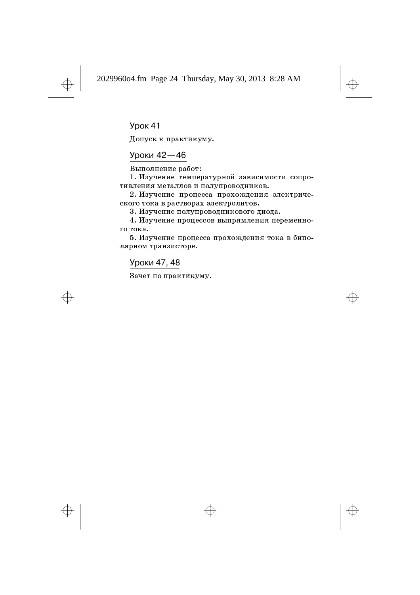$\bigoplus$ 

 $\Rightarrow$ 

# **Урок 41**

Допуск к практикуму.

# Уроки 42-46

Выполнение работ:

1. Изучение температурной зависимости сопротивления металлов и полупроводников.

2. Изучение процесса прохождения электрического тока в растворах электролитов.

3. Изучение полупроводникового диода.

4. Изучение процессов выпрямления переменного тока.

5. Изучение процесса прохождения тока в биполярном транзисторе.

## Уроки 47, 48

Зачет по практикуму.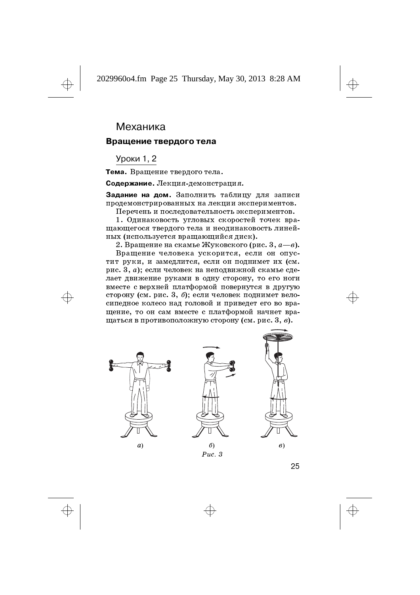# **Механика**

## Вращение твердого тела

Уроки 1, 2

Тема. Вращение твердого тела.

Содержание. Лекция-демонстрация.

Задание на дом. Заполнить таблицу для записи продемонстрированных на лекции экспериментов.

Перечень и последовательность экспериментов.

1. Одинаковость угловых скоростей точек вращающегося твердого тела и неодинаковость линейных (используется вращающийся диск).

2. Вращение на скамье Жуковского (рис.  $3, a$ — $6$ ). Вращение человека ускорится, если он опустит руки, и замедлится, если он поднимет их (см. рис. 3, а); если человек на неподвижной скамье сделает движение руками в одну сторону, то его ноги вместе с верхней платформой повернутся в другую сторону (см. рис. 3, б); если человек поднимет велосипедное колесо над головой и приведет его во вра-

щение, то он сам вместе с платформой начнет вра-



25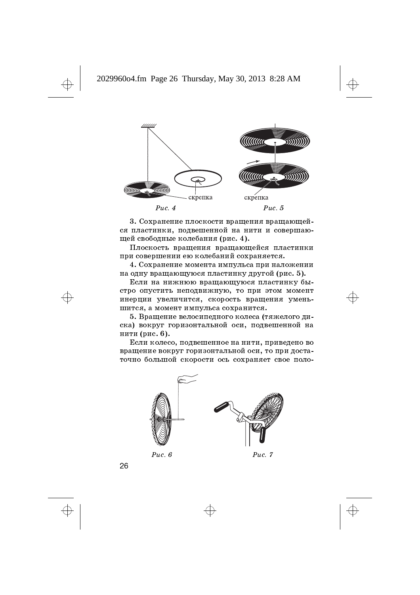

3. Сохранение плоскости вращения вращающейся пластинки, подвешенной на нити и совершающей свободные колебания (рис. 4).

Плоскость вращения вращающейся пластинки при совершении ею колебаний сохраняется.

4. Сохранение момента импульса при наложении на одну вращающуюся пластинку другой (рис. 5).

Если на нижнюю вращающуюся пластинку быстро опустить неподвижную, то при этом момент инерции увеличится, скорость вращения уменьшится, а момент импульса сохранится.

5. Вращение велосипедного колеса (тяжелого диска) вокруг горизонтальной оси, подвешенной на нити (рис. 6).

Если колесо, подвешенное на нити, приведено во вращение вокруг горизонтальной оси, то при достаточно большой скорости ось сохраняет свое поло-



26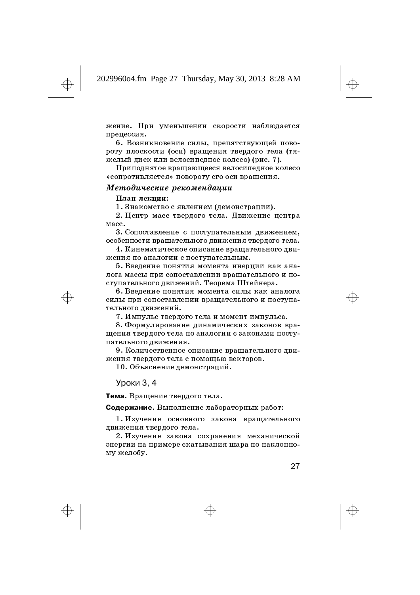жение. При уменьшении скорости наблюдается прецессия.

6. Возникновение силы, препятствующей повороту плоскости (оси) вращения твердого тела (тяжелый диск или велосипедное колесо) (рис. 7).

Приподнятое вращающееся велосипедное колесо «сопротивляется» повороту его оси вращения.

#### Методические рекомендации

#### План лекции:

1. Знакомство с явлением (демонстрации).

2. Центр масс твердого тела. Движение центра Macc.

3. Сопоставление с поступательным движением, особенности вращательного движения твердого тела.

4. Кинематическое описание вращательного движения по аналогии с поступательным.

5. Введение понятия момента инерции как аналога массы при сопоставлении вращательного и поступательного движений. Теорема Штейнера.

6. Введение понятия момента силы как аналога силы при сопоставлении вращательного и поступательного движений.

7. Импульс твердого тела и момент импульса.

8. Формулирование динамических законов вращения твердого тела по аналогии с законами поступательного движения.

9. Количественное описание вращательного движения твердого тела с помощью векторов.

10. Объяснение демонстраций.

## Уроки 3, 4

Тема. Вращение твердого тела.

Содержание. Выполнение лабораторных работ:

1. Изучение основного закона вращательного движения твердого тела.

2. Изучение закона сохранения механической энергии на примере скатывания шара по наклонному желобу.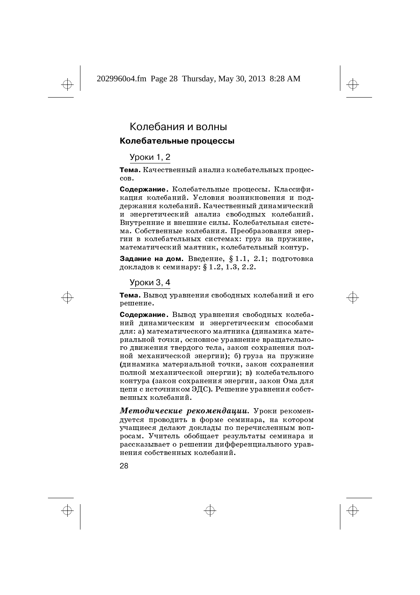# Колебания и волны

## Колебательные процессы

Уроки 1, 2

Тема. Качественный анализ колебательных процес-COB.

Содержание. Колебательные процессы. Классификация колебаний. Условия возникновения и поддержания колебаний. Качественный динамический и энергетический анализ свободных колебаний. Внутренние и внешние силы. Колебательная система. Собственные колебания. Преобразования энергии в колебательных системах: груз на пружине, математический маятник, колебательный контур.

Задание на дом. Введение, §1.1, 2.1; подготовка докладов к семинару: §  $1.2, 1.3, 2.2.$ 

## **Уроки 3.4**

28

Тема. Вывод уравнения свободных колебаний и его решение.

Содержание. Вывод уравнения свободных колебаний динамическим и энергетическим способами для: а) математического маятника (динамика материальной точки, основное уравнение вращательного движения твердого тела, закон сохранения полной механической энергии); б)груза на пружине (динамика материальной точки, закон сохранения полной механической энергии); в) колебательного контура (закон сохранения энергии, закон Ома для цепи с источником ЭДС). Решение уравнения собственных колебаний.

Методические рекомендации. Уроки рекомендуется проводить в форме семинара, на котором учащиеся делают доклады по перечисленным вопросам. Учитель обобщает результаты семинара и рассказывает о решении дифференциального уравнения собственных колебаний.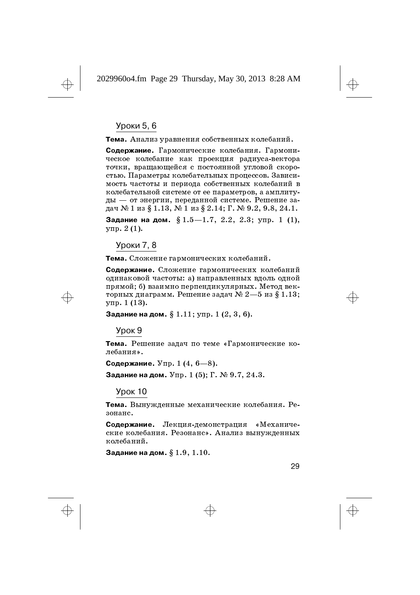# Уроки 5, 6

#### Тема. Анализ уравнения собственных колебаний.

Содержание. Гармонические колебания. Гармоническое колебание как проекция радиуса-вектора точки, вращающейся с постоянной угловой скоростью. Параметры колебательных процессов. Зависимость частоты и периода собственных колебаний в колебательной системе от ее параметров, а амплитуды — от энергии, переданной системе. Решение задач № 1 из § 1.13, № 1 из § 2.14; Г. № 9.2, 9.8, 24.1.

Задание на дом.  $\S~1.5{-}1.7,~2.2,~2.3;~{\rm ymp}.$  1 (1),  $v_{\rm HD}$ , 2(1).

## Уроки 7, 8

Тема. Сложение гармонических колебаний.

Содержание. Сложение гармонических колебаний одинаковой частоты: а) направленных вдоль одной прямой; б) взаимно перпендикулярных. Метод векторных диаграмм. Решение задач  $\mathbb{N}^2$  2-5 из § 1.13;  $ymp. 1(13)$ .

Задание на дом.  $\S~1.11;$   $y$ пр.  $1~(2,3,6)$ .

Урок 9

Тема. Решение задач по теме «Гармонические колебания».

Содержание.  $\texttt{N}{\texttt{m}}{\texttt{p}}.$   $1$   $(4,\,6{-}8).$ 

Задание на дом.  $\texttt{N}{\texttt{np}}$ .  $1$   $(5); \Gamma$ .  $\texttt{N}$ º  $9.7, \, 24.3.$ 

YDOK<sub>10</sub>

Тема. Вынужденные механические колебания. Резонанс.

Содержание. Лекция-демонстрация «Механические колебания. Резонанс». Анализ вынужденных колебаний.

Задание на дом.  $\S~1.9, \, 1.10.$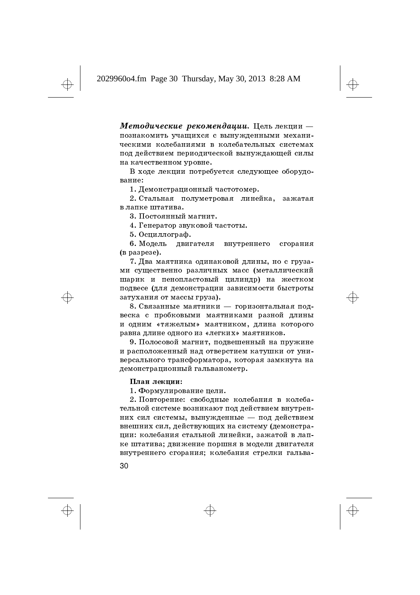$\bm{M}$ етодические рекомендации. Цель лекции познакомить учащихся с вынужденными механическими колебаниями в колебательных системах под действием периодической вынуждающей силы на качественном уровне.

В ходе лекции потребуется следующее оборудование:

1. Демонстрационный частотомер.

2. Стальная полуметровая линейка, зажатая в лапке штатива.

3. Постоянный магнит.

4. Генератор звуковой частоты.

5. Осциллограф.

6. Модель двигателя внутреннего сгорания  $(B\,\text{p}$ aspese).

7. Два маятника одинаковой длины, но с грузами существенно различных масс (металлический шарик и пенопластовый цилиндр) на жестком подвесе (для демонстрации зависимости быстроты затухания от массы груза).

8. Связанные маятники — горизонтальная подвеска с пробковыми маятниками разной длины и одним «тяжелым» маятником, длина которого равна длине одного из «легких» маятников.

9. Полосовой магнит, подвешенный на пружине и расположенный над отверстием катушки от универсального трансформатора, которая замкнута на демонстрационный гальванометр.

План лекции:

1. Формулирование цели.

2. Повторение: свободные колебания в колебательной системе возникают под действием внутренних сил системы, вынужденные - под действием внешних сил, действующих на систему (демонстрации: колебания стальной линейки, зажатой в лапке штатива; движение поршня в модели двигател<mark>я</mark> внутреннего сгорания; колебания стрелки гальва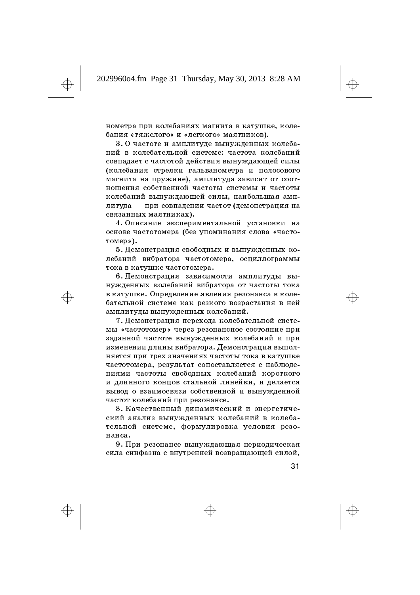нометра при колебаниях магнита в катушке, колебания «тяжелого» и «легкого» маятников).

3. О частоте и амплитуде вынужденных колебаний в колебательной системе: частота колебаний совпадает с частотой действия вынуждающей силы (колебания стрелки гальванометра и полосового магнита на пружине), амплитуда зависит от соотношения собственной частоты системы и частоты колебаний вынуждающей силы, наибольшая амплитула — при совпалении частот (лемонстрация на связанных маятниках).

4. Описание экспериментальной установки на основе частотомера (без упоминания слова «частотомер»).

5. Демонстрация свободных и вынужденных колебаний вибратора частотомера, осциллограммы тока в катушке частотомера<mark>.</mark>

6. Демонстрация зависимости амплитуды вынужденных колебаний вибратора от частоты тока в катушке. Определение явления резонанса в колебательной системе как резкого возрастания в ней амплитуды вынужденных колебаний.

7. Демонстрация перехода колебательной системы «частотомер» через резонансное состояние при заданной частоте вынужденных колебаний и при изменении длины вибратора. Демонстрация выполняется при трех значениях частоты тока в катушке частотомера, результат сопоставляется с наблюдениями частоты свободных колебаний короткого и длинного концов стальной линейки, и делается вывод о взаимосвязи собственной и вынужденной частот колебаний при резонансе.

8. Качественный динамический и энергетический анализ вынужденных колебаний в колебательной системе, формулировка условия резонанса.

9. При резонансе вынуждающая периодическая сила синфазна с внутренней возвращающей силой,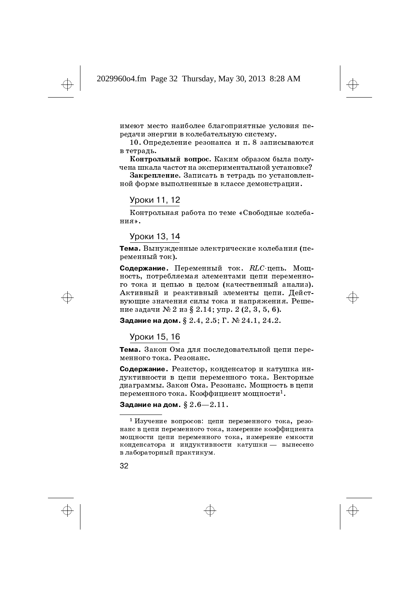имеют место наиболее благоприятные условия передачи энергии в колебательную систему.

10. Определение резонанса и п. 8 записываются в тетрадь.

Контрольный вопрос. Каким образом была получена шкала частот на экспериментальной установке?

Закрепление. Записать в тетрадь по установленной форме выполненные в классе демонстрации.

#### Уроки 11, 12

Контрольная работа по теме «Свободные колебания».

#### Уроки 13, 14

Тема. Вынужденные электрические колебания (переменный ток).

Содержание. Переменный ток.  $RLC$ -цепь. Мощность, потребляемая элементами цепи переменного тока и цепью в целом (качественный анализ). Активный и реактивный элементы цепи. Действующие значения силы тока и напряжения. Решение задачи № 2 из § 2.14; упр. 2 (2, 3, 5, 6).

Задание на дом.  $\S~2.4, \, 2.5; \Gamma.$   $\mathbb{N}$   $24.1, \, 24.2.$ 

## Уроки 15, 16

Тема. Закон Ома для последовательной цепи переменного тока. Резонанс.

Содержание. Резистор, конденсатор и катушка индуктивности в цепи переменного тока. Векторные диаграммы. Закон Ома. Резонанс. Мощность в цепи переменного тока. Коэффициент мощности $^1\!\!$ .

#### Задание на дом.  $\S~2.6{\rm -}2.11.$

 $^1$  Изучение вопросов: цепи переменного тока, резонанс в цепи переменного тока, измерение коэффициента мощности цепи переменного тока, измерение емкости конденсатора и индуктивности катушки — вынесено в лабораторный практикум.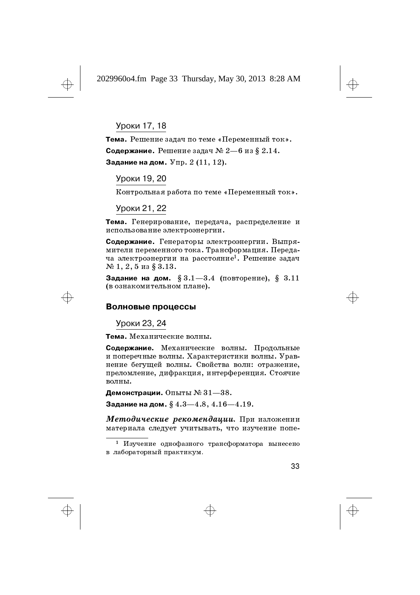Уроки 17, 18

Тема. Решение задач по теме «Переменный ток». Содержание. Решение задач  $\mathbb{N}$   $2-6$  из § 2.14. Задание на дом.  $\,\mathrm{Nnp.}\;2\,(11,\,12).$ 

Уроки 19, 20

Контрольная работа по теме «Переменный ток».

Уроки 21, 22

Тема. Генерирование, передача, распределение и использование электроэнергии.

Содержание. Генераторы электроэнергии. Выпрямители переменного тока. Трансформация. Передача электроэнергии на расстояние<sup>1</sup>. Решение задач  $\mathbb{N}$ <sup>2</sup> 1, 2, 5 из § 3.13.

Задание на дом.  $\S~3.1{-}3.4$  (повторение),  $\S~3.11$ (в ознакомительном плане).

#### Волновые процессы

Уроки 23, 24

Тема. Механические волны.

Содержание. Механические волны. Продольные и поперечные волны. Характеристики волны. Уравнение бегущей волны. Свойства волн: отражение, преломление, дифракция, интерференция. Стоячие волны.

**Демонстрации.** Опыты №  $31\!-\!38.$ 

Задание на дом.  $\S\,4.3{-}4.8,$   $4.16{-}4.19.$ 

Методические рекомендации. При изложении материала следует учитывать, что изучение попе-

↔

<sup>&</sup>lt;sup>1</sup> Изучение однофазного трансформатора вынесено в лабораторный практикум.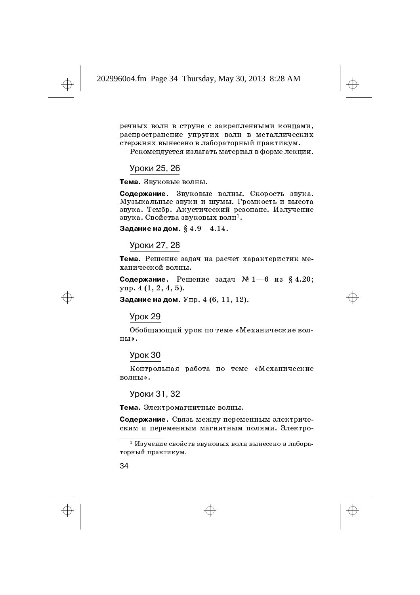речных волн в струне с закрепленными концами, распространение упругих волн в металлических стержнях вынесено в лабораторный практикум.

Рекомендуется излагать материал в форме лекции.

## Уроки 25, 26

Тема. Звуковые волны.

Содержание. Звуковые волны. Скорость звука. Музыкальные звуки и шумы. Громкость и высота звука. Тембр. Акустический резонанс. Излучение звука. Свойства звуковых волн $^1\!\!$ .

Задание на дом.  $\S~4.9{-}4.14.$ 

## Уроки 27, 28

Тема. Решение задач на расчет характеристик механической волны.

Содержание. Решение задач  $\mathbb{N}^2 \; 1\!-\!6$  из §4.20;  $ymp. 4 (1, 2, 4, 5).$ 

Задание на дом.  $\rm{Nnp.}$   $4$   $(6,11,12).$ 

#### **Урок 29**

Обобщающий урок по теме «Механические волны».

## **Урок 30**

Контрольная работа по теме «Механические волны».

#### Уроки 31, 32

Тема. Электромагнитные волны.

Содержание. Связь между переменным электрическим и переменным магнитным полями. Электро-

 $^1$  Изучение свойств звуковых волн вынесено в лабораторный практикум.

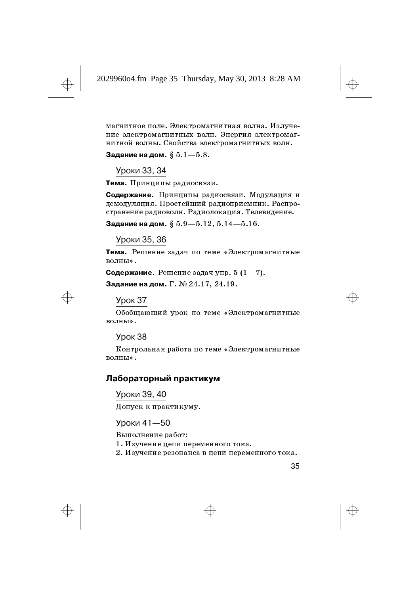магнитное поле. Электромагнитная волна. Излучение электромагнитных волн. Энергия электромагнитной волны. Свойства электромагнитных волн.

Задание на дом.  $\S~5.1\!-\!5.8.$ 

Уроки 33, 34

Тема. Принципы радиосвязи.

Содержание. Принципы радиосвязи. Модуляция и демодуляция. Простейший радиоприемник. Распространение радиоволн. Радиолокация. Телевидение.

Задание на дом.  $\S~5.9{-}5.12, 5.14{-}5.16.$ 

#### Уроки 35, 36

Тема. Решение задач по теме «Электромагнитные волны».

Содержание. Решение задач упр.  $5(1-7)$ .

- .% E 3J%I! 3J%>%



 $\overline{\bigoplus}$ 

## **Урок 37**

Обобщающий урок по теме «Электромагнитные волны».

#### **Урок 38**

Контрольная работа по теме «Электромагнитные волны».

#### Лабораторный практикум

Уроки 39, 40

Допуск к практикуму.

#### Уроки 41-50

Выполнение работ:

1. Изучение цепи переменного тока.

2. Изучение резонанса в цепи переменного тока.

35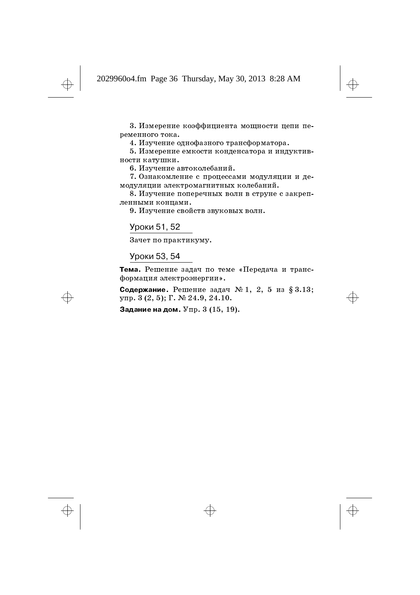3. Измерение коэффициента мощности цепи переменного тока.

4. Изучение однофазного трансформатора.

5. Измерение емкости конденсатора и индуктивности катушки.

6. Изучение автоколебаний.

7. Ознакомление с процессами модуляции и демодуляции электромагнитных колебаний.

8. Изучение поперечных волн в струне с закрепленными концами.

9. Изучение свойств звуковых волн.

Уроки 51, 52

Зачет по практикуму.

Уроки 53, 54

Тема. Решение задач по теме «Передача и трансформация электроэнергии».

Содержание. Решение задач № 1, 2, 5 из § 3.13;  $Y \n\Pi p. 3 (2, 5); \Gamma. \mathbb{N} 24.9, 24.10.$ 

Задание на дом.  $\mathtt{V}\pi\mathtt{p}.$   $3$   $(15,19).$ 

 $\bigoplus$ 

 $\Rightarrow$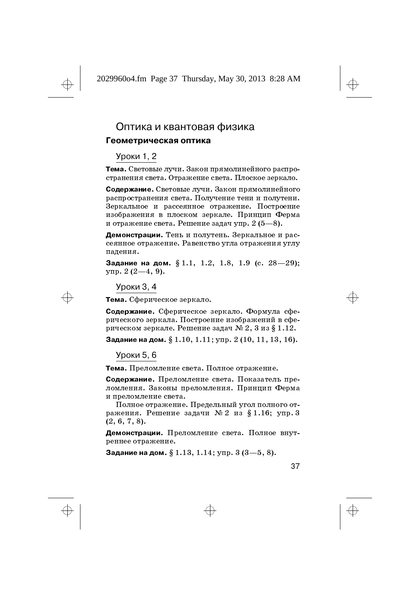# Оптика и квантовая физика

#### Геометрическая оптика

Уроки 1, 2

Тема. Световые лучи. Закон прямолинейного распространения света. Отражение света. Плоское зеркало.

Содержание. Световые лучи. Закон прямолинейного распространения света. Получение тени и полутени. Зеркальное и рассеянное отражение. Построение изображения в плоском зеркале. Принцип Ферма и отражение света. Решение задач упр.  $2(5-8)$ .

**Демонстрации**. Тень и полутень. Зеркальное и рассеянное отражение. Равенство угла отражения углу паления.

Задание на дом.  $\S\,1.1,\,\,1.2,\,\,1.8,\,\,1.9$  (с.  $28\!-\!29);$  $ymp. 2 (2-4, 9).$ 

#### Уроки 3, 4

Тема. Сферическое зеркало.

Содержание. Сферическое зеркало. Формула сферического зеркала. Построение изображений в сферическом зеркале. Решение задач № 2, 3 из § 1.12.

Задание на дом.  $\S~1.10, \, 1.11;$   $\tt ymp.$   $2\,(10, \, 11, \, 13, \, 16).$ 

Уроки 5, 6

Тема. Преломление света. Полное отражение.

Содержание. Преломление света. Показатель преломления. Законы преломления. Принцип Ферма и преломление света.

Полное отражение. Предельный угол полного отражения. Решение задачи № 2 из § 1.16; упр. 3  $(2, 6, 7, 8).$ 

**Демонстрации**. Преломление света. Полное внутреннее отражение.

Задание на дом.  $\S~1.13, \, 1.14; \, {\rm ynp.} \, 3 \, (3\!-\!5, \, 8).$ 



 $\oplus$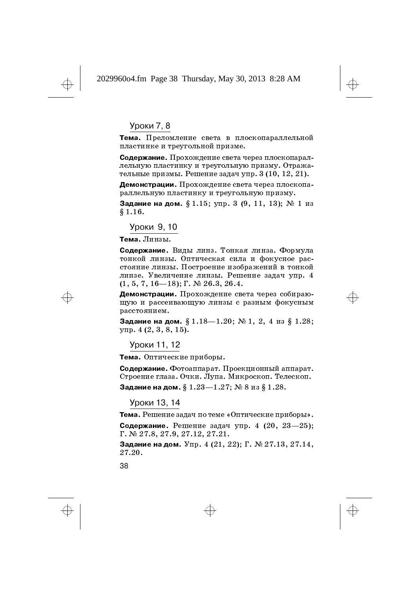Уроки 7, 8

Тема. Преломление света в плоскопараллельной пластинке и треугольной призме.

Содержание. Прохождение света через плоскопараллельную пластинку и треугольную призму. Отражательные призмы. Решение задач упр.  $3(10, 12, 21)$ .

**Демонстрации.** Прохождение света через плоскопараллельную пластинку и треугольную призму.

Задание на дом. §  $1.15;$  упр.  $3$   $(9,\,11,\,13);$  №  $1\,$  из  $$1.16.$ 

Уроки 9, 10

Тема. Линзы.

Содержание. Виды линз. Тонкая линза. Формула тонкой линзы. Оптическая сила и фокусное расстояние линзы. Построение изображений в тонкой линзе. Увеличение линзы. Решение задач упр. 4  $(1, 5, 7, 16-18); \Gamma. \mathbb{N}$  26.3, 26.4.

**Демонстрации.** Прохождение света через собирающую и рассеивающую линзы с разным фокусным расстоянием.

Задание на дом.  $\S~1.18$ — $1.20;~{\rm N}_2$   $1,~2,~4$  из  $\S~1.28;$  $ymp. 4 (2, 3, 8, 15).$ 

Уроки 11, 12

Тема. Оптические приборы.

Содержание. Фотоаппарат. Проекционный аппарат. Строение глаза. Очки. Лупа. Микроскоп. Телескоп. Задание на дом.  $\S~1.23{-}1.27;$   ${\rm N\!e~8~}$ из  $\S~1.28.$ 

Уроки 13, 14

Тема. Решение задач по теме «Оптические приборы».

Содержание. Решение задач упр. 4 (20, 23-25);  $\Gamma$ . No 27.8, 27.9, 27.12, 27.21.

Задание на дом. Упр. 4 (21, 22); Г. № 27.13, 27.14, 27.20.

38

 $\oplus$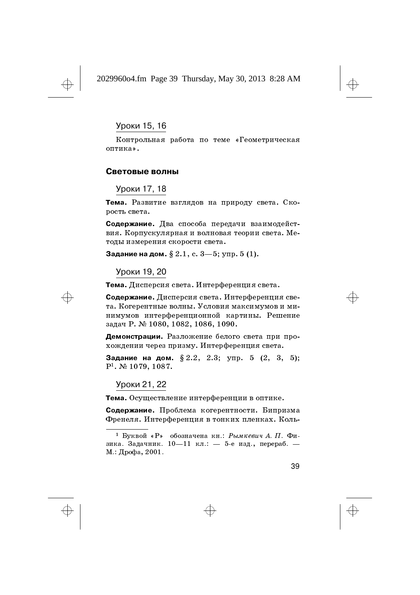Уроки 15, 16

Контрольная работа по теме «Геометрическая оптика».

# Световые волны

Уроки 17, 18

Тема. Развитие взглядов на природу света. Скорость света.

Содержание. Два способа передачи взаимодействия. Корпускулярная и волновая теории света. Методы измерения скорости света.

Задание на дом.  $\S~2.1, \mathrm{c.~3} {=} 5; \mathrm{ymp.~5}$  (1).

Уроки 19, 20

Тема. Дисперсия света. Интерференция света.

Содержание. Дисперсия света. Интерференция света. Когерентные волны. Условия максимумов и минимумов интерференционной картины. Решение задач Р. № 1080, 1082, 1086, 1090.

Демонстрации. Разложение белого света при прохождении через призму. Интерференция света.

Задание на дом.  $\S~2.2,~2.3;$  упр.  $5$   $(2,~3,~5);$  $P<sup>1</sup>$ . No 1079, 1087.

Уроки 21, 22

Тема. Осуществление интерференции в оптике.

Содержание. Проблема когерентности. Бипризма Френеля. Интерференция в тонких пленках. Коль-

<sup>&</sup>lt;sup>1</sup> Буквой «Р» обозначена кн.: Рымкевич А. П. Физика. Задачник. 10—11 кл.: — 5-е изд., перераб. — М.: Дрофа, 2001.



↔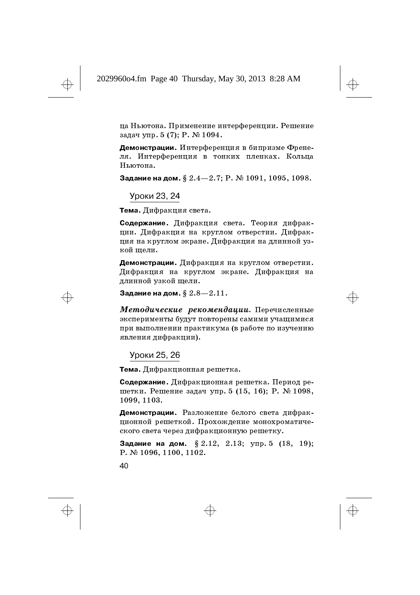$\oplus$ 

ца Ньютона. Применение интерференции. Решение задач упр. 5 (7); Р. № 1094.

Демонстрации. Интерференция в бипризме Френеля. Интерференция в тонких пленках. Кольца Ньютона.

Задание на дом.  $\S~2.4\!-\!2.7;$   $\rm P.$   $\rm N$  $\!\!\circ$   $1091,$   $1095,$   $1098.$ 

Уроки 23, 24

Тема. Дифракция света.

Содержание. Дифракция света. Теория дифракции. Дифракция на круглом отверстии. Дифракция на круглом экране. Дифракция на длинной узкой щели.

Демонстрации. Дифракция на круглом отверстии. Дифракция на круглом экране. Дифракция на длинной узкой щели.

Задание на дом.  $\S~2.8\mathrm{-}2.11.$ 

Методические рекомендации. Перечисленные эксперименты будут повторены самими учащимися при выполнении практикума (в работе по изучению явления дифракции).

Уроки 25, 26

Тема. Дифракционная решетка.

Содержание. Дифракционная решетка. Период решетки. Решение задач упр. 5 (15, 16); Р. № 1098, 1099, 1103.

Демонстрации. Разложение белого света дифракционной решеткой. Прохождение монохроматического света через дифракционную решетку.

Задание на дом.  $\S~2.12,~2.13;$  упр.  $5$   $(18,~19);$  $P. N<sup>0</sup> 1096, 1100, 1102.$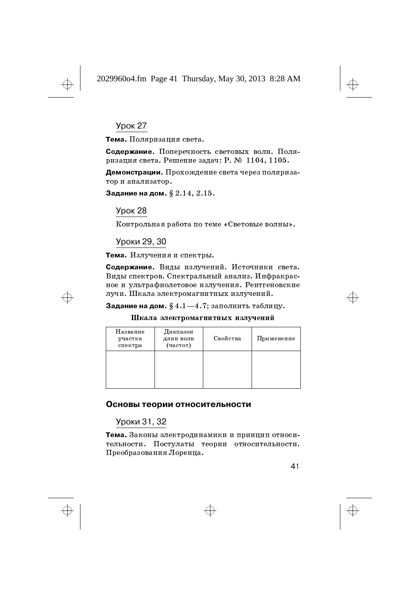

↔

 $\overline{\bigoplus}$ 

# **Урок 27**

Тема. Поляризация света.

Содержание. Поперечность световых волн. Поляризация света. Решение залач: Р. № 1104, 1105.

**Демонстрации.** Прохождение света через поляризатор и анализатор.

Задание на дом.  $\S~2.14, \, 2.15.$ 

## **Урок 28**

Контрольная работа по теме «Световые волны».

# Уроки 29, 30

Тема. Излучения и спектры.

Содержание. Виды излучений. Источники света. Виды спектров. Спектральный анализ. Инфракрасное и ультрафиолетовое излучения. Рентгеновские лучи. Шкала электромагнитных излучений.



# Шкала электромагнитных излучений

| Название<br>участка<br>спектра | Диапазон<br>длин волн<br>(частот) | Свойства | Применение |
|--------------------------------|-----------------------------------|----------|------------|
|                                |                                   |          |            |

# Основы теории относительности

# Уроки 31, 32

Тема. Законы электродинамики и принцип относительности. Постулаты теории относительности. Преобразования Лоренца.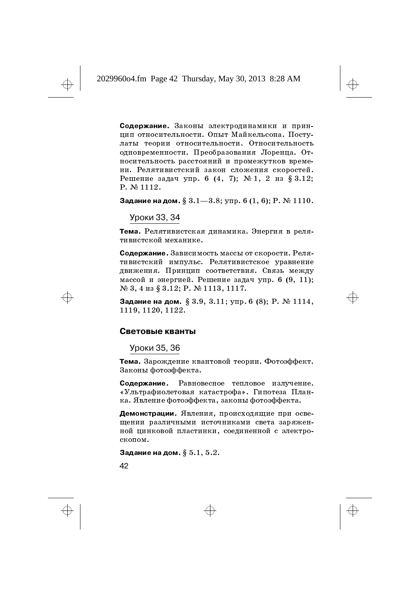Содержание. Законы электродинамики и принцип относительности. Опыт Майкельсона. Постулаты теории относительности. Относительность одновременности. Преобразования Лоренца. Относительность расстояний и промежутков времени. Релятивистский закон сложения скоростей. Решение задач упр. 6 (4, 7); № 1, 2 из § 3.12;  $P. N<sub>2</sub> 1112.$ 

Задание на дом.  $\S~3.1\!-\!3.8;$  упр.  $6\,(1,\,6);$   $\rm P.$   $\rm N_{\!\scriptscriptstyle 2}$   $1110.$ 

Уроки 33, 34

Тема. Релятивистская динамика. Энергия в релятивистской механике.

Содержание. Зависимость массы от скорости. Релятивистский импульс. Релятивистское уравнение движения. Принцип соответствия. Связь между массой и энергией. Решение задач упр. 6  $(9, 11)$ ; № 3, 4 из § 3.12; Р. № 1113, 1117.

Задание на дом.  $\S~3.9,~3.11;$  упр.  $6~(8);$  Р. №  $1114,$ 1119, 1120, 1122.

# Световые кванты

Уроки 35, 36

Тема. Зарождение квантовой теории. Фотоэффект. Законы фотоэффекта.

Содержание. Равновесное тепловое излучение. «Ультрафиолетовая катастрофа». Гипотеза Планка. Явление фотоэффекта, законы фотоэффекта.

Демонстрации. Явления, происходящие при освещении различными источниками света заряженной цинковой пластинки, соединенной с электро- $\cosh$ 

Задание на дом.  $\S~5.1, \, 5.2.$ 

42

↔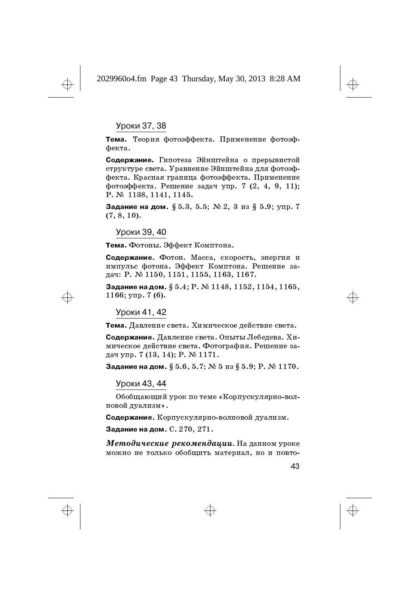$\oplus$ 

# Уроки 37, 38

Тема. Теория фотоэффекта. Применение фотоэффекта.

Содержание. Гипотеза Эйнштейна о прерывистой структуре света. Уравнение Эйнштейна для фотоэффекта. Красная граница фотоэффекта. Применение фотоэффекта. Решение задач упр. 7 (2, 4, 9, 11); P.  $\mathcal{N}$  1138, 1141, 1145.

Задание на дом. §  $5.3,\ 5.5;\ \mathbb{N}_{\!2},\ 3\,$  из §  $5.9;\ \mathrm{ymp}.\ 7$  $(7, 8, 10)$ .

Уроки 39, 40

Тема. Фотоны. Эффект Комптона.

Содержание. Фотон. Масса, скорость, энергия и импульс фотона. Эффект Комптона. Решение задач: Р. № 1150, 1151, 1155, 1163, 1167.

Задание на дом.  $\S~5.4;$   $\rm P.$   $\rm \mathbb{N}\text{ }1148, 1152, 1154, 1165,$  $1166$ ; ynp. 7 (6).

Уроки 41, 42

Тема. Давление света. Химическое действие света.

Содержание. Давление света. Опыты Лебедева. Химическое действие света. Фотография. Решение задач упр. 7 (13, 14); Р. № 1171.

Задание на дом.  $\S~5.6,\,5.7;\,\mathbb{N}\!\text{e}~5~\text{ns}~\S~5.9;\,\text{P}.~\mathbb{N}\!\text{e}~1170.$ 

## Уроки 43, 44

Обобщающий урок по теме «Корпускулярно-волновой дуализм».

Содержание. Корпускулярно-волновой дуализм.

Задание на дом.  $\operatorname{C.\ 270},\, 271.$ 

**Методические рекомендации.** На данном уроке можно не только обобщить материал, но и повто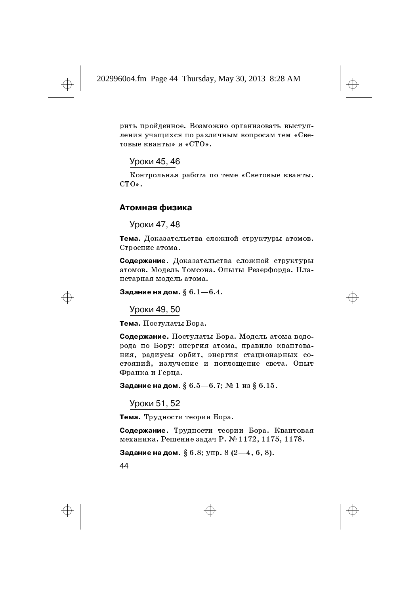рить пройденное. Возможно организовать выступления учащихся по различным вопросам тем «Световые кванты» и «СТО».

# Уроки 45, 46

Контрольная работа по теме «Световые кванты.  $CTO<sub>*</sub>$ .

# Атомная физика

Уроки 47, 48

Тема. Доказательства сложной структуры атомов. Строение атома.

Содержание. Доказательства сложной структуры атомов. Модель Томсона. Опыты Резерфорда. Планетарная модель атома.

Задание на дом.  $\S~6.1\!-\!6.4.$ 

Уроки 49, 50

Тема. Постулаты Бора.

Содержание. Постулаты Бора. Модель атома водорода по Бору: энергия атома, правило квантования, радиусы орбит, энергия стационарных состояний, излучение и поглощение света. Опыт Франка и Герца.

Задание на дом.  $\S~6.5\text{---}6.7;$  №  $1~$ из  $\S~6.15.$ 

Уроки 51, 52

Тема. Трудности теории Бора.

Содержание. Трудности теории Бора. Квантовая механика. Решение задач Р. № 1172, 1175, 1178.

Задание на дом.  $\S~6.8;$  упр.  $8~(2{-}4,$   $6,$   $8).$ 

44

 $\oplus$ 

 $\overline{\bigoplus}$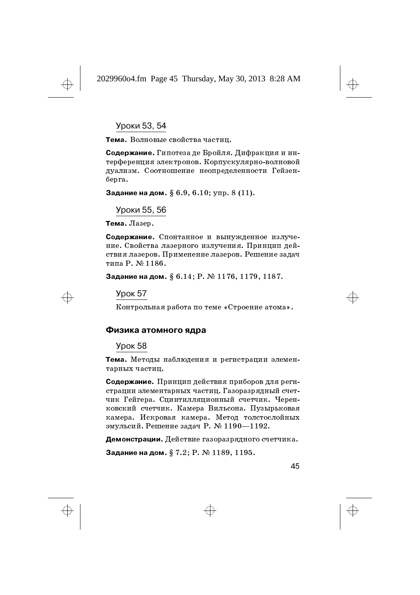Тема. Волновые свойства частиц.

Содержание. Гипотеза де Бройля. Дифракция и интерференция электронов. Корпускулярно-волновой дуализм. Соотношение неопределенности Гейзенберга.

Задание на дом.  $\S~6.9, \, 6.10; \, {\rm ymp.} \, 8 \, (11).$ 

Уроки 55, 56

Тема. Лазер.

Содержание. Спонтанное и вынужденное излучение. Свойства лазерного излучения. Принцип действия лазеров. Применение лазеров. Решение задач типа Р. № 1186.

Задание на дом.  $\S~6.14;$   $\rm P.$   $\rm \mathbb{N}$   $1176,$   $1179,$   $1187.$ 

**Урок 57** 

Контрольная работа по теме «Строение атома».

# Физика атомного ядра

**Урок 58** 

Тема. Методы наблюдения и регистрации элементарных частиц.

Уроки 53, 54<br>**держание.** Гипотеза де Бройля. Дифракция и ин-<br>**держание.** Гипотеза де Бройля. Дифракция и ин-<br>оференция электронов. Корпускулярно-волновой<br>ализм. Соотношение неопределенности Гейзен-<br>ула.<br>**дание на дом.** § Содержание. Принцип действия приборов для регистрации элементарных частиц. Газоразрядный счетчик Гейгера. Сцинтилляционный счетчик. Черенковский счетчик. Камера Вильсона. Пузырьковая камера. Искровая камера. Метод толстослойных эмульсий. Решение задач Р. № 1190-1192.

**Демонстрации.** Действие газоразрядного счетчика.

Задание на дом.  $\S~7.2;$   ${\rm P.}$   ${\rm N}\!\!\!\!{\rm E}$   $1189,$   $1195.$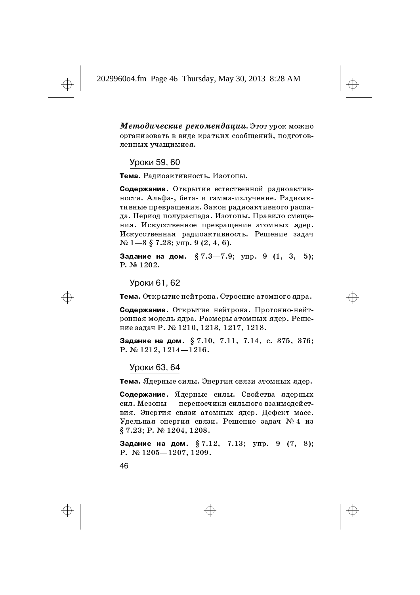**Методические рекомендации.** Этот урок можно организовать в виде кратких сообщений, подготовленных учащимися.

# Уроки 59, 60

Тема. Радиоактивность. Изотопы.

Содержание. Открытие естественной радиоактивности. Альфа-, бета- и гамма-излучение. Радиоактивные превращения. Закон радиоактивного распада. Период полураспада. Изотопы. Правило смещения. Искусственное превращение атомных ядер. Искусственная радиоактивность. Решение задач  $\mathbb{N}^{\mathfrak{g}}$  1 — 3  $\mathfrak{F}$  7.23; ynp. 9 (2, 4, 6).

Задание на дом.  $\S~7.3\!-\!7.9;$   $y\pi p.$   $9$   $(1,$   $3,$   $5);$  $P. N<sub>2</sub> 1202.$ 

Уроки 61, 62

Тема. Открытие нейтрона. Строение атомного ядра.

Содержание. Открытие нейтрона. Протонно-нейтронная модель ядра. Размеры атомных ядер. Решение задач Р. № 1210, 1213, 1217, 1218.

Задание на дом.  $\S\ 7.10,\ 7.11,\ 7.14,\ \mathrm{c.}\ 375,\ 376;$ P.  $\mathbb{N}$  1212, 1214-1216.

Уроки 63, 64

Тема. Ядерные силы. Энергия связи атомных ядер.

Содержание. Ядерные силы. Свойства ядерных сил. Мезоны — переносчики сильного взаимодействия. Энергия связи атомных ядер. Дефект масс. Удельная энергия связи. Решение задач № 4 из  $\S 7.23; P. \mathbb{N} \ 1204, 1208.$ 

Задание на дом.  $\S\,7.12,\,7.13;\,$  упр. 9  $(7,\,8);$ P.  $\mathbb{N}$  1205-1207, 1209.

46

↔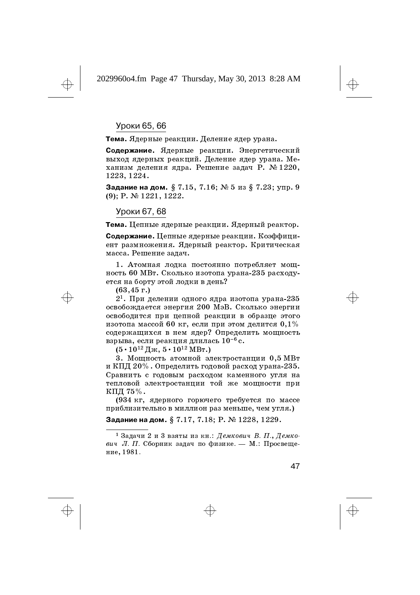Уроки 65, 66

Тема. Ядерные реакции. Деление ядер урана.

Содержание. Ядерные реакции. Энергетический выход ядерных реакций. Деление ядер урана. Механизм деления ядра. Решение задач Р. № 1220, 1223, 1224.

Задание на дом. § 7.15, 7.16; № 5 из § 7.23; упр. 9  $(9)$ ; P. No 1221, 1222.

Уроки 67, 68

Тема. Цепные ядерные реакции. Ядерный реактор.

Содержание. Цепные ядерные реакции. Коэффициент размножения. Ядерный реактор. Критическая масса. Решение залач.

1. Атомная лодка постоянно потребляет мощность 60 МВт. Сколько изотопа урана-235 расходуется на борту этой лодки в день?

 $(63, 45 \text{ r.})$ 

 $2<sup>1</sup>$ . При делении одного ядра изотопа урана-235 освобождается энергия 200 МэВ. Сколько энергии освободится при цепной реакции в образце этого изотопа массой  $60$  кг, если при этом делится  $0,1\%$ содержащихся в нем ядер? Определить мощность взрыва, если реакция длилась  $10^{-6}\,\mathrm{c}$ .

 $(5\cdot 10^{12}\,{\rm M\rm m},\,5\cdot 10^{12}\,{\rm MBr.})$ 

3. Мощность атомной электростанции 0,5 МВт и КПД 20%. Определить годовой расход урана-235. Сравнить с годовым расходом каменного угля на тепловой электростанции той же мощности при КПД 75 $%$ .

(934 кг, ядерного горючего требуется по массе приблизительно в миллион раз меньше, чем угля.)

Задание на дом.  $\S~7.17,\,7.18;\,\mathrm{P.}~\mathbb{N}$ 2 $1228,\,1229.$ 

<sup>&</sup>lt;sup>1</sup> Задачи 2 и 3 взяты из кн.: Демкович В. П., Демко- $\emph{su}\sqrt{u}$  .  $\Pi$ . Сборник задач по физике. — М.: Просвещение, 1981.

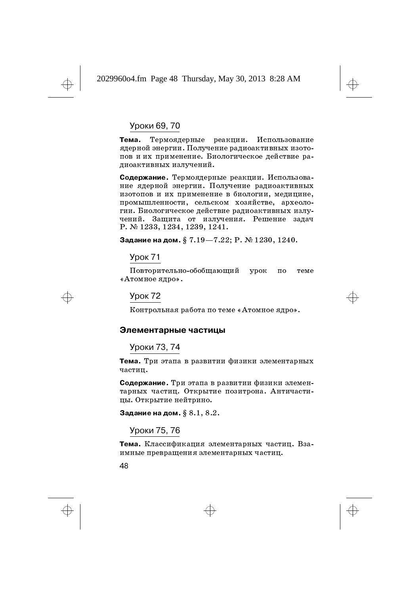# Уроки 69, 70

Тема. Термоядерные реакции. Использование ядерной энергии. Получение радиоактивных изотопов и их применение. Биологическое действие радиоактивных излучений.

Содержание. Термоядерные реакции. Использование ядерной энергии. Получение радиоактивных изотопов и их применение в биологии, медицине, промышленности, сельском хозяйстве, археологии. Биологическое действие радиоактивных излучений. Защита от излучения. Решение задач  $P. N$ <sup>21233</sup>, 1234, 1239, 1241.

Задание на дом.  $\S~7.19{\rm -}7.22;$   ${\rm P.}$   ${\rm N}\!\!\!\!{\rm E}$   $1230,$   $1240.$ 

**Урок 71** 

Повторительно-обобщающий урок по теме «Атомное ядро».

YDOK<sub>72</sub>

Контрольная работа по теме «Атомное ядро».

# Элементарные частицы

Уроки 73, 74

Тема. Три этапа в развитии физики элементарных частин.

Содержание. Три этапа в развитии физики элементарных частиц. Открытие позитрона. Античастицы. Открытие нейтрино.

Задание на дом.  $\S~8.1, \, 8.2.$ 

Уроки 75, 76

Тема. Классификация элементарных частиц. Взаимные превращения элементарных частиц.

48



↔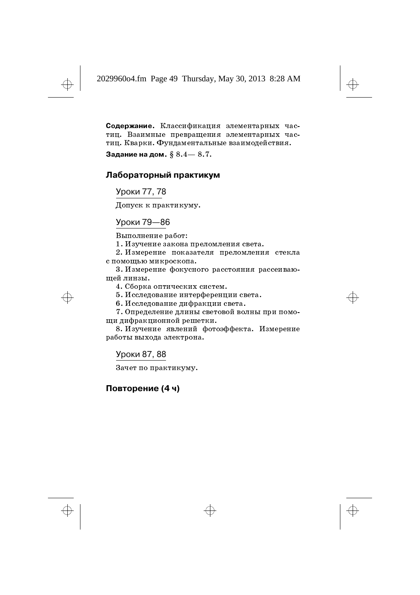Содержание. Классификация элементарных частиц. Взаимные превращения элементарных частиц. Кварки. Фундаментальные взаимодействия.

Задание на дом.  $\S~8.4\!-\!~8.7.$ 

# Лабораторный практикум

Уроки 77, 78

Допуск к практикуму.

## Уроки 79-86

Выполнение работ:

1. Изучение закона преломления света.

2. Измерение показателя преломления стекла с помощью микроскопа.

3. Измерение фокусного расстояния рассеивающей линзы.

4. Сборка оптических систем.

5. Исследование интерференции света.

6. Исследование дифракции света.

7. Определение длины световой волны при помощи дифракционной решетки.

8. Изучение явлений фотоэффекта. Измерение работы выхода электрона.

Уроки 87, 88

Зачет по практикуму.

# Повторение (4 ч)

↔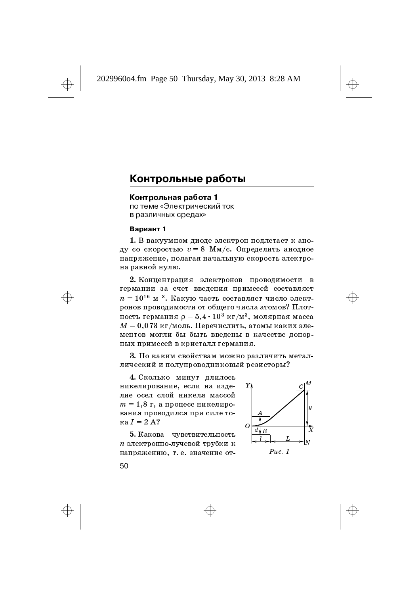# Контрольные работы

Контрольная работа 1

по теме «Электрический ток в различных средах»

# Вариант 1

1. В вакуумном диоде электрон подлетает к аноду со скоростью  $v = 8\,$  Мм/с. Определить анодное напряжение, полагая начальную скорость электрона равной нулю.

 ${\bf 2}.$  Концентрация электронов проводимости в германии за счет введения примесей составляет  $n = 10^{16}$  м $^{-3}$ . Какую часть составляет число электронов проводимости от общего числа атомов? Плотность германия р =  $5.4\cdot10^3\,$  кг/м $^3$ , молярная масса  $M = 0{,}073$  кг/моль. Перечислить, атомы каких элементов могли бы быть введены в качестве донорных примесей в кристалл германия.

 ${\bf 3}.$  По каким свойствам можно различить металлический и полупроводниковый резисторы?

4. Сколько минут длилось никелирование, если на изделие осел слой никеля массой  $m = 1{,}8$  г, а процесс никелирования проводился при силе тока  $I$  = 2 А?

 ${\bf 5}.$  Какова иувствительность  $n$  электронно-лучевой трубки к напряжению, т. е. значение от-



 $Puc. 1$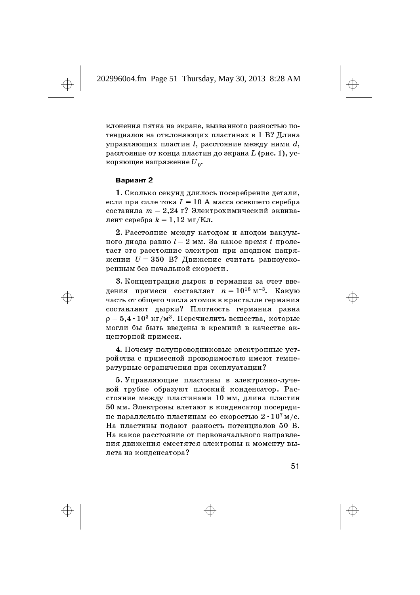клонения пятна на экране, вызванного разностью потенциалов на отклоняющих пластинах в 1 В? Длина управляющих пластин  $l$ , расстояние между ними  $d$ , расстояние от конца пластин до экрана  $L$  (рис. 1), ускоряющее напряжение  ${{U}_{\mathrm{0}}}$ .

#### Вариант 2

1. Сколько секунд длилось посеребрение детали, если при силе тока  $I=10~\mathrm{A}$  масса осевшего серебра составила  $m = 2{,}24$  г? Электрохимический эквивалент серебра  $k = 1, 12$  мг/Кл.

2. Расстояние между катодом и анодом вакуумного диода равно  $l$  = 2 мм. За какое время  $t$  пролетает это расстояние электрон при анодном напряжении  $U = 350\,$  В? Движение считать равноускоренным без начальной скорости.

3. Концентрация дырок в германии за счет введения примеси составляет  $n=10^{18}$  м $^{-3}$ . Какую часть от общего числа атомов в кристалле германия составляют дырки? Плотность германия равна  $\mathsf{\rho} = 5.4 \cdot 10^3$  кг/м $^3$ . Перечислить вещества, которые могли бы быть введены в кремний в качестве акцепторной примеси.

4. Почему полупроводниковые электронные устройства с примесной проводимостью имеют температурные ограничения при эксплуатации?

 $5.$  Управляющие пластины в электронно-лучевой трубке образуют плоский конденсатор. Расстояние между пластинами 10 мм, длина пластин 50 мм. Электроны влетают в конденсатор посередине параллельно пластинам со скоростью  $2\cdot 10^7$  м/с. На пластины подают разность потенциалов 50 В. На какое расстояние от первоначального направления движения сместятся электроны к моменту вылета из конденсатора?

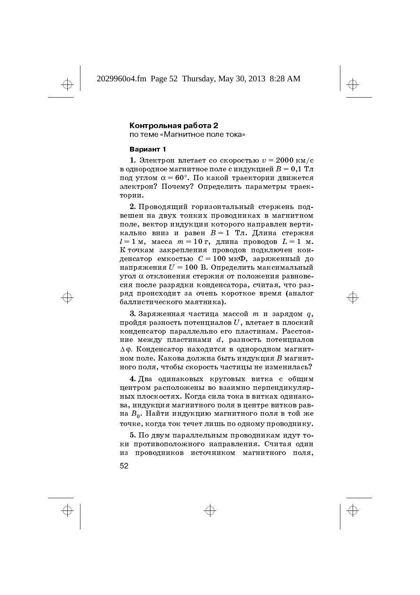# Контрольная работа 2

по теме «Магнитное поле тока»

#### Вариант 1

1. Электрон влетает со скоростью  $v = 2000 \text{ km/c}$ в однородное магнитное поле с индукцией  $B = 0,1$  Тл под углом  $\alpha = 60^{\circ}$ . По какой траектории движется электрон? Почему? Определить параметры траектории.

2. Проводящий горизонтальный стержень подвешен на двух тонких проводниках в магнитном поле, вектор индукции которого направлен вертикально вниз и равен  $B = 1$  Тл. Длина стержня  $l=1$  м, масса  $m=10$  г, длина проводов  $L=1$  м. К точкам закрепления проводов подключен конденсатор емкостью  $C = 100$  мк $\Phi$ , заряженный до напряжения  $U = 100$  В. Определить максимальный угол α отклонения стержня от положения равновесия после разрядки конденсатора, считая, что разряд происходит за очень короткое время (аналог баллистического маятника).

3. Заряженная частица массой  $m$  и зарядом  $q$ , пройдя разность потенциалов  $U$ , влетает в плоский конденсатор параллельно его пластинам. Расстояние между пластинами  $d$ , разность потенциалов До. Конденсатор находится в однородном магнитном поле. Какова должна быть индукция В магнитного поля, чтобы скорость частицы не изменилась?

4. Два одинаковых круговых витка с общим центром расположены во взаимно перпендикулярных плоскостях. Когда сила тока в витках одинакова, индукция магнитного поля в центре витков равна  $B_0$ . Найти индукцию магнитного поля в той же точке, когда ток течет лишь по одному проводнику.

5. По двум параллельным проводникам идут токи противоположного направления. Считая один из проводников источником магнитного поля,

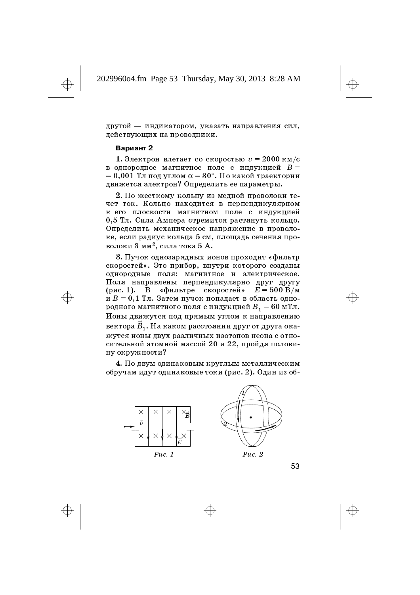другой — индикатором, указать направления сил, действующих на проводники.

#### Вариант 2

1. Электрон влетает со скоростью  $v = 2000$  км/с в однородное магнитное поле с индукцией  $B=\frac{1}{2}$  $\alpha=0,001$  Тл под углом  $\alpha=30^\circ.$  По какой траектории движется электрон? Определить ее параметры.

 ${\bf 2}.$  По жесткому кольцу из медной проволоки течет ток. Кольцо находится в перпендикулярном к его плоскости магнитном поле с индукцией 0,5 Тл. Сила Ампера стремится растянуть кольцо. Определить механическое напряжение в проволоке, если радиус кольца 5 см, площадь сечения проволоки  $3$  мм $^2$ , сила тока  $5$  А.

3. Пучок однозарядных ионов проходит «фильтр скоростей». Это прибор, внутри которого созданы однородные поля: магнитное и электрическое. Поля направлены перпендикулярно друг другу (рис. 1). В «фильтре скоростей»  $E=500~\mathrm{B}/\mathrm{m}$ и  $B=0,1$  Тл. Затем пучок попадает в область однородного магнитного поля с индукцией  $B_1^{}=60$  м $\rm T$ л. Ионы движутся под прямым углом к направлению вектора  $\vec{B}_1.$  На каком расстоянии друг от друга окажутся ионы двух различных изотопов неона с относительной атомной массой 20 и 22, пройдя половину окружности?

4. По двум одинаковым круглым металлическим обручам идут одинаковые токи (рис. 2). Один из об-

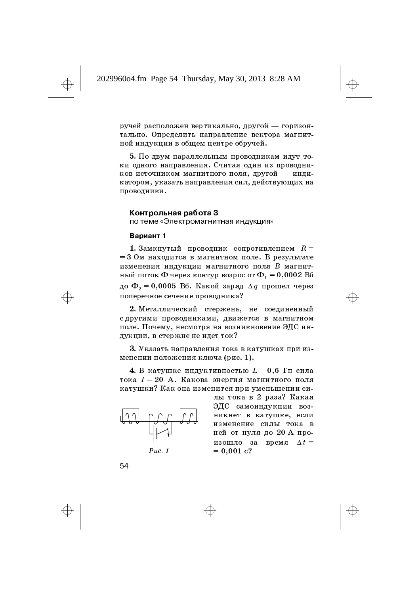ручей расположен вертикально, другой — горизонтально. Определить направление вектора магнитной индукции в общем центре обручей.

5. По двум параллельным проводникам идут токи одного направления. Считая один из проводников источником магнитного поля, другой - индикатором, указать направления сил, действующих на проводники.

#### Контрольная работа 3

по теме «Электромагнитная индукция»

### Вариант 1

1. Замкнутый проводник сопротивлением  $R =$ = 3 Ом находится в магнитном поле. В результате изменения индукции магнитного поля В магнитный поток Ф через контур возрос от  $\Phi_1 = 0,0002$  Вб до Ф<sub>2</sub> = 0,0005 Вб. Какой заряд  $\Delta q$  прошел через поперечное сечение проводника?

2. Металлический стержень. не соелиненный с другими проводниками, движется в магнитном поле. Почему, несмотря на возникновение ЭДС индукции, в стержне не идет ток?

3. Указать направления тока в катушках при изменении положения ключа (рис. 1).

4. В катушке индуктивностью  $L = 0.6$  Гн сила тока  $I = 20$  А. Какова энергия магнитного поля катушки? Как она изменится при уменьшении си-



лы тока в 2 раза? Какая ЭДС самоиндукции возникнет в катушке, если изменение силы тока в ней от нуля до 20 А произошло за время  $\Delta t =$  $= 0,001$  c?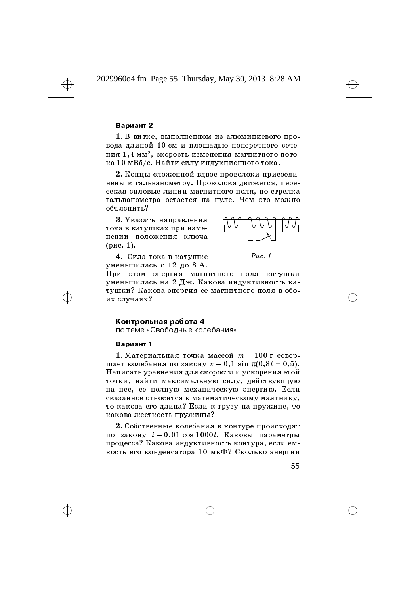1. В витке, выполненном из алюминиевого провода длиной 10 см и площадью поперечного сечения  $1.4$  мм $^2$ , скорость изменения магнитного потока 10 мBб/с. Найти силу индукционного тока.

2. Концы сложенной вдвое проволоки присоединены к гальванометру. Проволока движется, пересекая силовые линии магнитного поля, но стрелка гальванометра остается на нуле. Чем это можно объяснить?

3. Указать направления тока в катушках при изменении положения ключ<mark>а</mark>  $(\text{DMC. 1}).$ 





 $Puc.1$ 

При этом энергия магнитного поля катушки уменьшилась на 2 Дж. Какова индуктивность катушки? Какова энергия ее магнитного поля в обоих случаях?

### Контрольная работа 4

по теме «Свободные колебания»

#### Вариант 1

Вариант 2<br>
1. В витее, выполненном из алюминиевого про-<br>
13. вите выполненном из алюминиевого про-<br>
13. импий 10 см и площадью поперечного сече-<br>
я 1.4 мм<sup>2</sup>, скорость изменения магнитного пото-<br>
10 мВб/с. Найти силу инд 1. Материальная точка массой  $m = 100$  г совершает колебания по закону  $x = 0,1 \, \sin \, \pi (0,8t+0,5).$ Написать уравнения для скорости и ускорения этой точки, найти максимальную силу, действующую на нее, ее полную механическую энергию. Если сказанное относится к математическому маятнику<mark>,</mark> то какова его длина? Если к грузу на пружине, то какова жесткость пружины?

 $2.$  Собственные колебания в контуре происходят по закону  $i = 0.01 \cos 1000t$ . Каковы параметры процесса? Какова индуктивность контура, если емкость его конденсатора 10 мк $\Phi$ ? Сколько энергии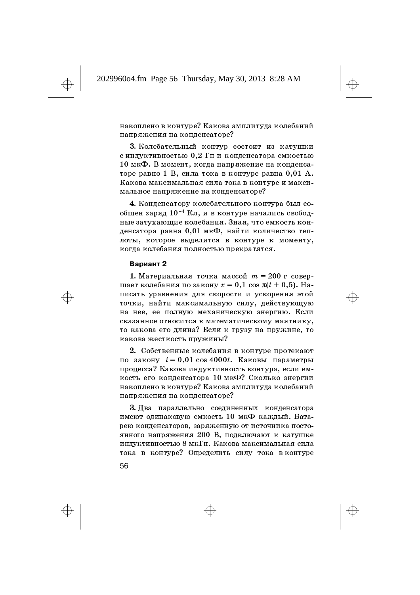накоплено в контуре? Какова амплитуда колебаний напряжения на конденсаторе?

3. Колебательный контур состоит из катушки с индуктивностью 0,2 Гн и конденсатора емкостью 10 мкФ. В момент, когда напряжение на конденсаторе равно 1 В, сила тока в контуре равна 0,01 А. Какова максимальная сила тока в контуре и максимальное напряжение на конденсаторе?

4. Конденсатору колебательного контура был сообщен заряд  $10^{-4}$  Кл, и в контуре начались свободные затухающие колебания. Зная, что емкость конденсатора равна 0,01 мкФ, найти количество теплоты, которое выделится в контуре к моменту, когда колебания полностью прекратятся.

#### Вариант 2

1. Материальная точка массой  $m = 200$  г совершает колебания по закону  $x = 0,1$  cos  $\pi(t + 0.5)$ . Написать уравнения для скорости и ускорения этой точки, найти максимальную силу, действующую на нее, ее полную механическую энергию. Если сказанное относится к математическому маятнику, то какова его длина? Если к грузу на пружине, то какова жесткость пружины?

2. Собственные колебания в контуре протекают по закону  $i = 0.01 \cos 4000t$ . Каковы параметры процесса? Какова индуктивность контура, если емкость его конденсатора 10 мкФ? Сколько энергии накоплено в контуре? Какова амплитуда колебаний напряжения на конденсаторе?

3. Два параллельно соединенных конденсатора имеют одинаковую емкость 10 мкФ каждый. Батарею конденсаторов, заряженную от источника постоянного напряжения 200 В, подключают к катушке индуктивностью 8 мкГн. Какова максимальная сила тока в контуре? Определить силу тока вконтуре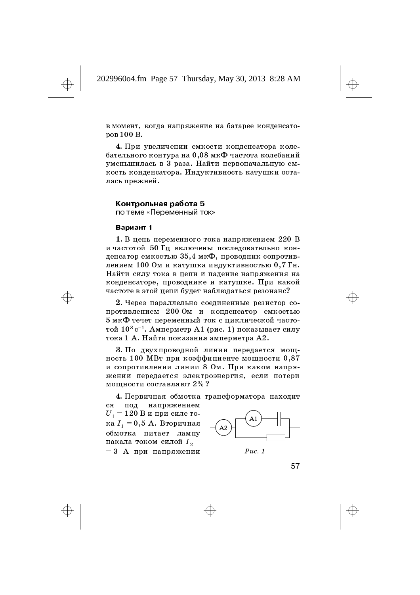# 2029960o4.fm Page 57 Thursday, May 30, 2013 8:28 AM

в момент, когда напряжение на батарее конденсаторов 100 В.

4. При увеличении емкости конденсатора колебательного контура на  $0,\!08$  мк $\Phi$  частота колебаний уменьшилась в 3 раза. Найти первоначальную емкость конденсатора. Индуктивность катушки осталась прежней.

## Контрольная работа 5

по теме «Переменный ток»

#### Вариант 1

1. В цепь переменного тока напряжением 220 В и частотой 50 Гц включены последовательно конденсатор емкостью  $35{,}4$  мк $\Phi$ , проводник сопротивлением 100 Ом и катушка индуктивностью 0,7 Гн. Найти силу тока в цепи и падение напряжения на конденсаторе, проводнике и катушке. При какой частоте в этой цепи будет наблюдаться резонанс?

2. Через параллельно соединенные резистор сопротивлением 200Ом и конденсатор емкостью  $5$  мк $\Phi$  течет переменный ток с циклической частотой  $10^3\,{\rm c}^{-1}$ . Амперметр А $1$  (рис. 1) показывает силу тока 1 А. Найти показания амперметра А2.

3. По двухпроводной линии передается мощность 100 МВт при коэффициенте мощности 0,87  $\,$ и сопротивлении линии 8 Ом. При каком напряжении передается электроэнергия, если потери мощности составляют  $2\%$ ?

4. Первичная обмотка трансформатора находит

ся под напряжением  $U_1 = 120$  В и при силе тока  $I_1 = 0,$ 5 А. Вторичная обмотка питает лампу накала током силой  $I^{}_{2} =$  $= 3$  А при напряжении



$$
f_{\rm{max}}
$$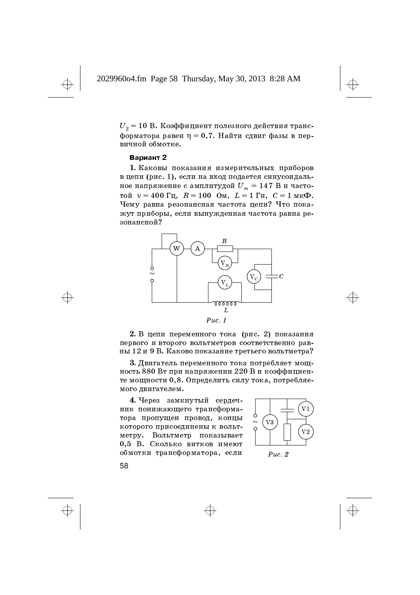$U_2 = 10$  В. Коэффициент полезного действия трансформатора равен  $\eta = 0.7$ . Найти сдвиг фазы в первичной обмотке.

# Вариант 2

1. Каковы показания измерительных приборов в цепи (рис. 1), если на вход подается синусоидальное напряжение с амплитудой  $U_m = 147$  В и частотой  $v = 400$  Гц,  $R = 100$  Ом,  $L = 1$  Гн,  $C = 1$  мкФ. Чему равна резонансная частота цепи? Что покажут приборы, если вынужденная частота равна резонансной?



2. В цепи переменного тока (рис. 2) показания первого и второго вольтметров соответственно равны 12 и 9 В. Каково показание третьего вольтметра?

3. Двигатель переменного тока потребляет мощность 880 Вт при напряжении 220 В и коэффициенте мощности 0,8. Определить силу тока, потребляемого двигателем.

4. Через замкнутый сердечник понижающего трансформатора пропущен провод, концы которого присоединены к вольтметру. Вольтметр показывает 0,5 В. Сколько витков имеют обмотки трансформатора, если



 $Puc. 2$ 

58

↔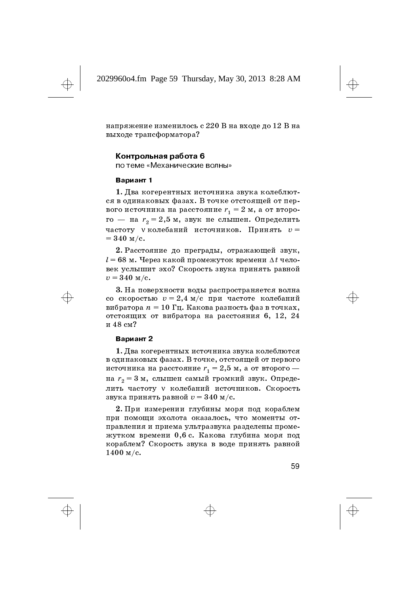напряжение изменилось с 220 В на входе до 12 В на выходе трансформатора?

## Контрольная работа 6

по теме «Механические волны»

#### Вариант 1

1. Два когерентных источника звука колеблются в одинаковых фазах. В точке отстоящей от первого источника на расстояние  $r_{\rm 1}^{}=2$  м, а от второго — на  $r_{\rm 2}$  = 2,5 м, звук не слышен. Определить частоту v колебаний источников. Принять  $v=\frac{1}{2}$  $= 340$  M/c.

 $2.$  Расстояние до преграды, отражающей звук,  $l$  = 68 м. Через какой промежуток времени  $\Delta\,t$  человек услышит эхо? Скорость звука принять равной  $v = 340$  M/c.

3. На поверхности воды распространяется волна со скоростью  $v=2,4$  м/с при частоте колебаний вибратора  $n=10\ {\rm F}$ ц. Какова разность фаз в точках, отстоящих от вибратора на расстояния 6, 12, 24 и 48 см?

#### Вариант 2

1. Два когерентных источника звука колеблются в одинаковых фазах. В точке, отстоящей от первого источника на расстояние  $r^{\phantom{\dagger}}_1$  =  $2,5$  м, а от второго  $$ на  $r_{\rm 2}$  = 3 м, слышен самый громкий звук. Определить частоту v колебаний источников. Скорость звука принять равной  $v = 340$  м/с.

 ${\bf 2}.$  При измерении глубины моря под кораблем при помощи эхолота оказалось, что моменты отправления и приема ультразвука разделены промежутком времени 0,6 с. Какова глубина моря под кораблем? Скорость звука в воде принять равной  $1400$  M/c.

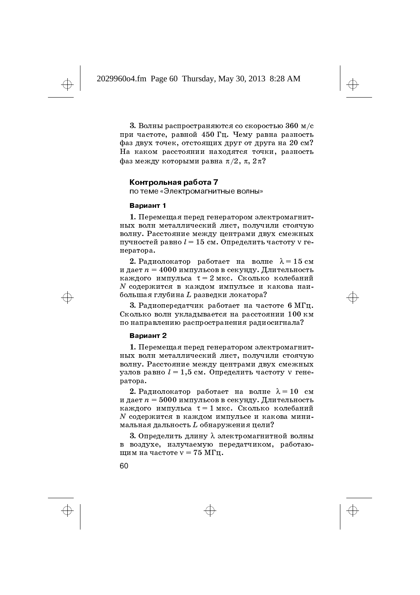${\bf 3.}$  Волны распространяются со скоростью  $360$  м/с при частоте, равной 450 Гц. Чему равна разность фаз двух точек, отстоящих друг от друга на 20 см? На каком расстоянии находятся точки, разность фаз между которыми равна  $\pi/2$ ,  $\pi$ ,  $2\pi?$ 

### Контрольная работа 7

по теме «Электромагнитные волны»

#### Вариант 1

1. Перемещая перед генератором электромагнитных волн металлический лист, получили стоячую волну. Расстояние между центрами двух смежных пучностей равно  $l = 15$  см. Определить частоту  $v$  генератора.

 ${\bf 2.}$  Радиолокатор работает на волне  $\lambda=15~{\rm cm}$ и дает  $n=4000$  импульсов в секунду. Длительность каждого импульса  $\tau=2$ мкс. Сколько колебаний  $N$  содержится в каждом импульсе и какова наибольшая глубина  $L$  разведки локатора?

 ${\bf 3.}$  Радиопередатчик работает на частоте 6 МГц. Сколько волн укладывается на расстоянии 100 км по направлению распространения радиосигнала?

## Вариант 2

1. Перемещая перед генератором электромагнитных волн металлический лист, получили стоячую волну. Расстояние между центрами двух смежных узлов равно  $l = 1, 5$  см. Определить частоту  $\nu$  генератора.

 ${\bf 2.}$  Радиолокатор работает на волне  $\lambda=10$  см и дает  $n=5000$  импульсов в секунду. Длительность каждого импульса  $\tau=1$  мкс. Сколько колебаний  $N$  содержится в каждом импульсе и какова минимальная дальность  $L$  обнаружения цели?

 ${\bf 3}.$  Определить длину  $\lambda$  электромагнитной волны в воздухе, излучаемую передатчиком, работающим на частоте  $v = 75$  МГц.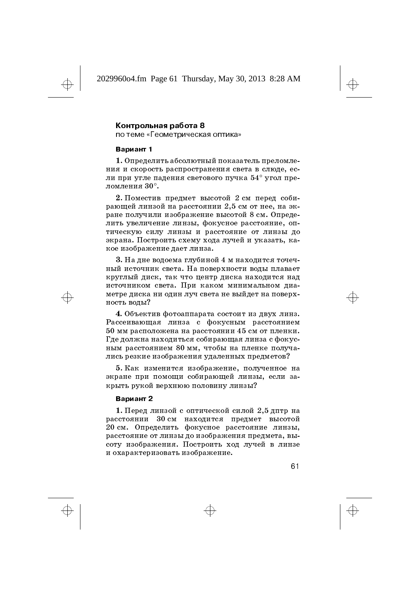#### Контрольная работа 8

по теме «Геометрическая оптика»

#### Вариант 1

1. Определить абсолютный показатель преломления и скорость распространения света в слюде, если при угле падения светового пучка  $54^{\circ}$  угол преломления 30°.

2. Поместив предмет высотой 2 см перед собирающей линзой на расстоянии  $2{,}5\;{\rm cm}$  от нее, на экране получили изображение высотой 8 см. Определить увеличение линзы, фокусное расстояние, оптическую силу линзы и расстояние от линзы до экрана. Построить схему хода лучей и указать, какое изображение дает линза.

3. На дне водоема глубиной 4 м находится точечный источник света. На поверхности воды плавает круглый диск, так что центр диска находится над источником света. При каком минимальном диаметре диска ни один луч света не выйдет на поверхность воды?

4. Объектив фотоаппарата состоит из двух линз. Рассеивающая линза с фокусным расстоянием  $50$  мм расположена на расстоянии  $45$  см от пленки.  $\Gamma$ де должна находиться собирающая линза с фокусным расстоянием 80 мм, чтобы на пленке получались резкие изображения удаленных предметов?

 ${\bf 5}.$  Как изменится изображение, полученное на экране при помощи собирающей линзы, если закрыть рукой верхнюю половину линзы?

#### Вариант 2

1. Перед линзой с оптической силой 2,5 дптр на расстоянии 30 см находится предмет высотой 20 см. Определить фокусное расстояние линзы, расстояние от линзы до изображения предмета, высоту изображения. Построить ход лучей в линзе и охарактеризовать изображение.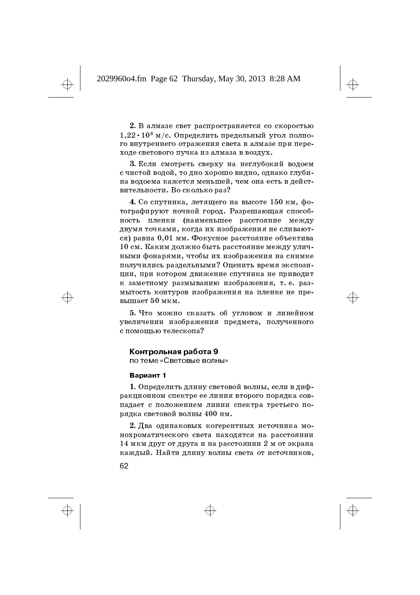${\bf 2.\, B}$  алмазе свет распространяется со скоростью  $1,22 \cdot 10^8$  м/с. Определить предельный угол полного внутреннего отражения света в алмазе при переходе светового пучка из алмаза в воздух.

3. Если смотреть сверху на неглубокий водоем с чистой водой, то дно хорошо видно, однако глубина водоема кажется меньшей, чем она есть в действительности. Во сколько раз?

4. Со спутника, летящего на высоте  $150$  км, фотографируют ночной город. Разрешающая способность пленки (наименьшее расстояние между двумя точками, когда их изображения не сливаются) равна  $0,\!01$  мм. Фокусное расстояние объектива 10 см. Каким должно быть расстояние между уличными фонарями, чтобы их изображения на снимке получились раздельными? Оценить время экспозиции, при котором движение спутника не приводит к заметному размыванию изображения, т.е. размытость контуров изображения на пленке не превышает 50 мкм.

 ${\bf 5.}$  Что можно сказать об угловом и линейном увеличении изображения предмета, полученного с помощью телескопа?

#### Контрольная работа 9

по теме «Световые волны»

## Вариант 1

1. Определить длину световой волны, если в дифракционном спектре ее линия второго порядка совпадает с положением линии спектра третьего порядка световой волны  $400$  нм.

 ${\bf 2}.$  Два одинаковых когерентных источника монохроматического света находятся на расстояни<mark>и</mark>  $14$  мкм друг от друга и на расстоянии 2 м от экрана каждый. Найти длину волны света от источников,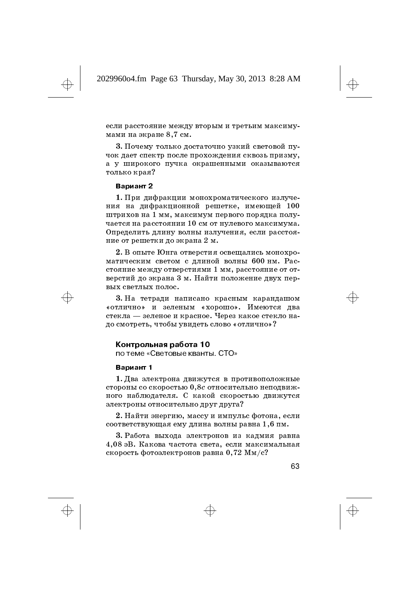если расстояние между вторым и третьим максимумами на экране 8,7 см.

3. Почему только достаточно узкий световой пучок дает спектр после прохождения сквозь призму<mark>,</mark> а у широкого пучка окрашенными оказываютс<mark>я</mark> только края?

#### Вариант 2

1. При дифракции монохроматического излучения на дифракционной решетке, имеющей  $100\,$ штрихов на 1 мм, максимум первого порядка получается на расстоянии  $10$  см от нулевого максимума. Определить длину волны излучения, если расстояние от решетки до экрана 2 м.

2. В опыте Юнга отверстия освещались монохроматическим светом с длиной волны 600 нм. Расстояние между отверстиями 1 мм. расстояние от отверстий до экрана 3 м. Найти положение двух первых светлых полос.

3. На тетради написано красным карандашом «отлично» и зеленым «хорошо». Имеются два стекла — зеленое и красное. Через какое стекло надо смотреть, чтобы увидеть слово «отлично»?

#### Контрольная работа 10

по теме «Световые кванты, СТО»

#### Вариант 1

1. Два электрона движутся в противоположные стороны со скоростью  $0,\!8c$  относительно неподвижного наблюдателя. С какой скоростью движутся электроны относительно друг друга?

2. Найти энергию, массу и импульс фотона, если соответствующая ему длина волны равна 1.6 пм.

3. Работа выхода электронов из кадмия равна 4,08 эВ. Какова частота света, если максимальная скорость фотоэлектронов равна  $0,\!72~\mathrm{Mm/c} ?$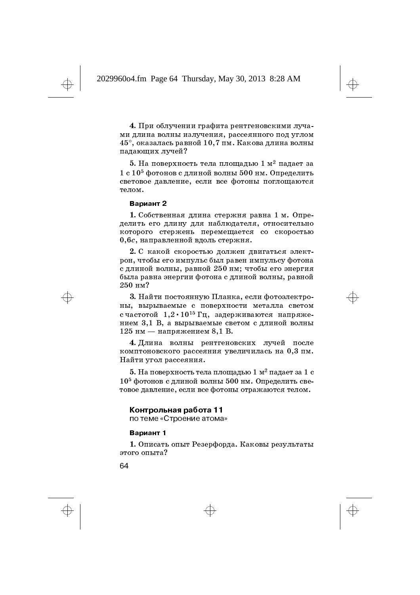4. При облучении графита рентгеновскими лучами длина волны излучения, рассеянного под углом 45°, оказалась равной 10,7 пм. Какова длина волны палаюших лучей?

 ${\bf 5}.$  На поверхность тела площадью  $1$  м $^2$  падает за  $1c10<sup>5</sup>$  фотонов с длиной волны 500 нм. Определить световое давление, если все фотоны поглощаются телом.

#### Вариант 2

1. Собственная длина стержня равна 1 м. Определить его длину для наблюдателя, относительно которого стержень перемещается со скоростью  $0,\!6c,$  направленной вдоль стержня.

 ${\bf 2}.$  С какой скоростью должен двигаться электрон, чтобы его импульс был равен импульсу фотона с длиной волны, равной 250 нм; чтобы его энергия была равна энергии фотона с длиной волны, равной  $250$  HM?

3. Найти постоянную Планка, если фотоэлектроны, вырываемые с поверхности металла светом с частотой  $1.2 \cdot 10^{15}$  Гц, задерживаются напряжением 3,1 В, а вырываемые светом с длиной волны 125 нм — напряжением 8,1 В.

4. Длина волны рентгеновских лучей после комптоновского рассеяния увеличилась на  $0.3$  пм. Найти угол рассеяния.

 ${\bf 5}.$  На поверхность тела площадью  $1\;{\rm m^2}$  падает за  $1\;{\rm c}$  $10<sup>5</sup>$  фотонов с длиной волны 500 нм. Определить световое давление, если все фотоны отражаются телом.

## Контрольная работа 11

по теме «Строение атома»

### Вариант 1

1. Описать опыт Резерфорда. Каковы результаты этого опыта?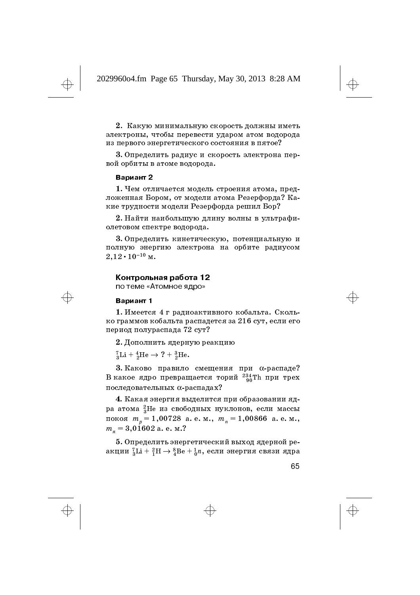2. Какую минимальную скорость должны иметь электроны, чтобы перевести ударом атом водорода из первого энергетического состояния в пятое?

3. Определить радиус и скорость электрона первой орбиты в атоме водорода.

#### Вариант 2

1. Чем отличается модель строения атома, предложенная Бором, от модели атома Резерфорда? Какие трудности модели Резерфорда решил Бор?

2. Найти наибольшую длину волны в ультрафиолетовом спектре водорода.

3. Определить кинетическую, потенциальную и полную энергию электрона на орбите радиусом  $2.12 \cdot 10^{-10}$  M.

#### Контрольная работа 12

по теме «Атомное ядро»

#### Вариант 1

1. Имеется 4 г радиоактивного кобальта. Сколько граммов кобальта распадется за 216 сут, если его период полураспада 72 сут?

 $2.$  Дополнить ядерную реакцию

 ${}^{7}_{3}\text{Li} + {}^{4}_{2}\text{He} \rightarrow {}^{7}_{2} + {}^{3}_{2}\text{He}$ .

3. Каково правило смещения при  $\alpha$ -распаде? В какое ядро превращается торий  $^{234}_{\ 90}$ Th при трех последовательных α-распадах?

4. Какая энергия выделится при образовании ядра атома  ${}^2_3\mathrm{He}$  из свободных нуклонов, если массы покоя  $m_p^{}$  = 1,00728 a.e.м.,  $m_{_R}^{}$  = 1,00866 a.e.м.,  $m_s = 3{,}01602$  a. e. m.?

 ${\bf 5}.$  Определить энергетический выход ядерной реакции  $^{7}_{3}{\rm Li} + {^{2}_{1}{\rm H}} \rightarrow {^{8}_{4}{\rm Be}} + {^{1}_{0}{n}},$  если энергия связи ядра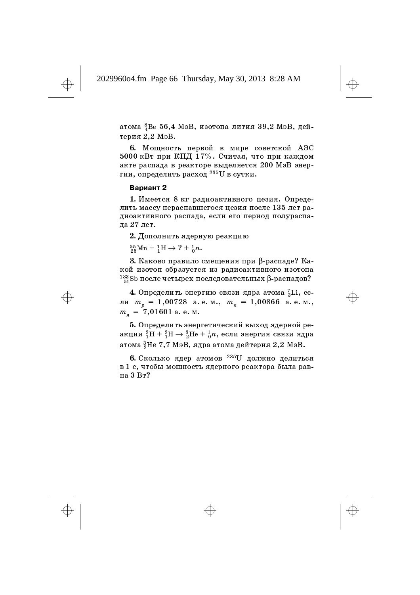атома  $^8_4$ Be 5 $6,4$  MэB, изотопа лития 39,2 MэB, дейтерия 2,2 МэВ.

 $\bf{6.}$  Мощность первой в мире советской АЭС  $5000~{\rm kBr}$  при КПД 17%. Считая, что при каждом акте распада в реакторе выделяется 200 МэВ энергии, определить расход  $^{235}\rm{U}$  в сутки.

## Вариант 2

1. Имеется 8 кг радиоактивного цезия. Определить массу нераспавшегося цезия после 135 лет радиоактивного распада, если его период полураспада 27 лет.

 ${\bf 2}.$  Дополнить ядерную реакцию

$$
{}_{25}^{55}\text{Mn} + {}_{1}^{1}\text{H} \rightarrow ? + {}_{0}^{1}n.
$$

3. Каково правило смещения при  $\beta$ -распаде? Какой изотоп образуется из радиоактивного изотопа  $^{133}_{\ 51}$ Sb после четырех последовательных β-распадов?

 ${\bf 4.\,O}$ пределить энергию связи ядра атома  $^7_3{\rm Li},~{\rm ec}$ ли  $m_p = 1{,}00728$  a.e.m.,  $m_n = 1{,}00866$  a.e.m.,  $m_{\rm s} = 7,01601$  a. e. m.

 ${\bf 5}.$  Определить энергетический выход ядерной реакции  $^{2}_{1}\mathrm{H} + ^{2}_{1}\mathrm{H} \rightarrow \frac{3}{2}\mathrm{He} + \frac{1}{0}n,$  если энергия связи ядра атома  $^3_2\mathrm{He}$  7,7 Мэ $\mathrm{B}$ , ядра атома дейтерия 2,2 Мэ $\mathrm{B}.$ 

6. Сколько ядер атомов  $^{235}$ U должно делиться в 1 с, чтобы мощность ядерного реактора была рав-Ha 3 Br?

↔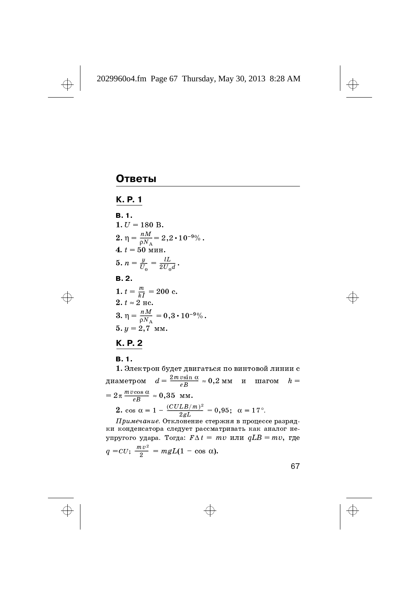

 $\bigoplus$ 

⊕

 $\oplus$ 

# **Ответы**

# **K.P.1**

**B. 1.**  
\n**1.** 
$$
U = 180 \text{ B.}
$$
  
\n**2.**  $\eta = \frac{nM}{\rho N_A} = 2, 2 \cdot 10^{-9} \%$ .  
\n**4.**  $t = 50 \text{ mm.}$   
\n**5.**  $n = \frac{y}{U_0} = \frac{lL}{2U_0d}$ .  
\n**B. 2.**  
\n**1.**  $t = \frac{m}{kI} = 200 \text{ c.}$   
\n**2.**  $t \approx 2 \text{ mc.}$   
\n**3.**  $\eta = \frac{nM}{\rho N_A} = 0, 3 \cdot 10^{-9} \%$ .  
\n**5.**  $y = 2, 7 \text{ mm.}$ 

K. P. 2

**B.1.** 

1. Электрон будет двигаться по винтовой линии с диаметром  $d = \frac{2m \sin \alpha}{eB} \approx 0.2$  мм и шагом  $h =$  $=2\pi \frac{m\nu\cos\alpha}{eB} \approx 0.35$  MM. 2.  $\cos \alpha = 1 - \frac{(CULB/m)^2}{2gL} = 0.95; \alpha = 17^{\circ}.$ 

 $\eta$ илечание. Отклонение стержня в процессе разрядки конденсатора следует рассматривать как аналог неупругого удара. Тогда:  $F \Delta t = mv$  или  $qLB = mv$ , где  $q = CU;$   $\frac{mv^2}{2} = mgL(1 - \cos \alpha).$ 

67

 $\Rightarrow$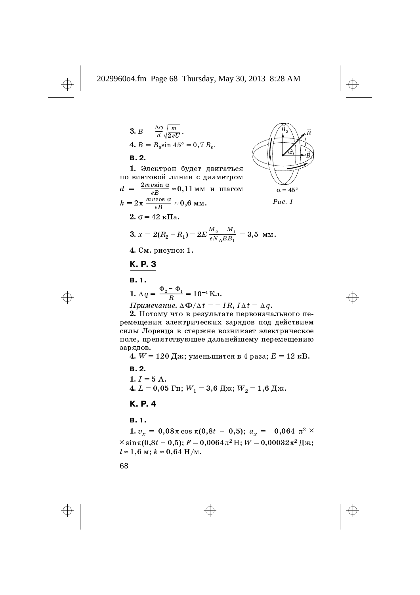Примечание.  $\Delta \Phi / \Delta t = - IR$ ,  $I \Delta t = \Delta q$ .

2. Потому что в результате первоначального перемещения электрических зарядов под действием силы Лоренца в стержне возникает электрическое поле, препятствующее дальнейшему перемещению зарядов.

4.  $W = 120$  Дж; уменьшится в 4 раза;  $E = 12$  кВ.

 $B.2.$ 1.  $I = 5$  A. 4.  $L = 0.05$  Гн;  $W_1 = 3.6$  Дж;  $W_2 = 1.6$  Дж.

# K. P. 4

# **B.1.**

1.  $v_x = 0.08 \pi \cos \pi (0.8t + 0.5); a_x = -0.064 \pi^2$  ×  $\times$  sin  $\pi$ (0,8t + 0,5);  $F = 0,0064 \pi^2$  H;  $W = 0,00032 \pi^2$   $\Delta x$ ;  $l \approx 1, 6$  M;  $k \approx 0,64$  H/m.

68

 $\bigoplus$ 

 $\overline{\bigoplus}$ 

 $\oplus$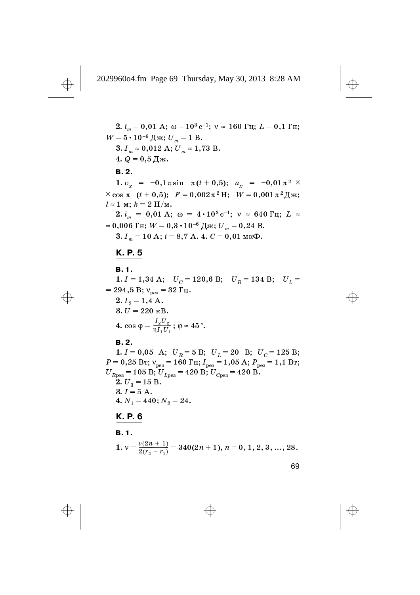2.  $i_m = 0.01$  A;  $\omega = 10^3$  c<sup>-1</sup>;  $v \approx 160$  Fu;  $L = 0.1$  Fu;  $W = 5 \cdot 10^{-6}$   $\text{H}_{\text{H}}$ ;  $U_m = 1$  B. 3.  $I_m \approx 0.012$  A;  $U_m \approx 1.73$  B. 4.  $Q = 0.5$   $\text{I}$ ж. **B.2.** 1.  $v_r = -0.1 \pi \sin \pi (t + 0.5); a_r = -0.01 \pi^2$  ×  $\times$  cos  $\pi$  (t + 0,5);  $F = 0.002\pi^2$  H;  $W = 0.001\pi^2$   $\text{H}$ x;  $l \approx 1$  M;  $k = 2$  H/M. 2.  $i_m = 0.01 \text{ A}; \omega = 4 \cdot 10^3 \text{ c}^{-1}; \nu \approx 640 \text{ T\text{H}}; L \approx$  $\approx 0,006$   $\Gamma$ H;  $W = 0,3 \cdot 10^{-6}$   $\text{H}_{\text{HK}}$ ;  $U_m = 0,24$  B. 3.  $I_m = 10 \text{ A}; i = 8,7 \text{ A}. 4. C = 0,01 \text{ mK}\Phi.$ K. P. 5 **B.1.** 1.  $I = 1,34 \text{ A}; U_C = 120,6 \text{ B}; U_R = 134 \text{ B}; U_L =$ = 294,5 B;  $v_{\text{res}}$  = 32  $\Gamma$ II. 2.  $I_2 = 1, 4$  A. 3.  $U = 220 \text{ }\mathrm{KB}$ . **4.**  $\cos \varphi = \frac{I_2 U_2}{\eta I_1 U_2}$ ;  $\varphi \approx 45^\circ$ .  $B.2.$ 1.  $I = 0.05$  A;  $U_R = 5$  B;  $U_L = 20$  B;  $U_C = 125$  B;  $P=0,25$  B<br>r;  $\rm v_{\rm{pea}}=160$   $\rm{Tu};$   $I_{\rm{pea}}=1,05$  A;<br>  $P_{\rm{pea}}=1,1$  Br;  $U_{R\text{pea}} = 105 \text{ B}; U_{L\text{pea}} = 420 \text{ B}; U_{C\text{pea}} = 420 \text{ B}.$ 2.  $U_3 = 15$  B.  $3. I = 5 A.$ 4.  $N_1 = 440$ ;  $N_2 = 24$ . K. P. 6 **B.1.** 1.  $v = \frac{v(2n + 1)}{2(r_2 - r_1)} = 340(2n + 1), n = 0, 1, 2, 3, ..., 28.$ 

69

 $\oplus$ 

 $\overline{\bigoplus}$ 

 $\Rightarrow$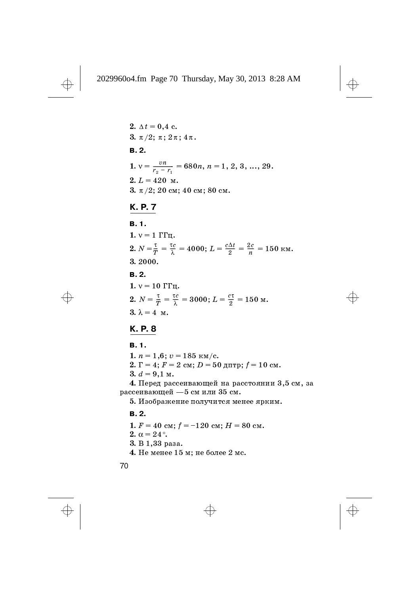$2. \Delta t = 0,4$  c.  $3.$   $\pi/2;$   $\pi$  ;  $2\pi$  ;  $4\pi$  . **B.2.** 1.  $v = \frac{vn}{r-r} = 680n, n = 1, 2, 3, ..., 29.$  $2. L = 420$  M.  $3. \pi/2$ ; 20 см; 40 см; 80 см.  $\frac{v}{r_2-r_1}$ 

# K. P. 7

# **B.1.** 1.  $v = 1$   $\Gamma \Gamma$ <sub>H</sub>. 2.  $N = \frac{\tau}{T} = \frac{\tau c}{\lambda} = 4000; L = \frac{c\Delta t}{2} = \frac{2c}{r} = 150 \text{ km}.$  $3.2000.$  $B.2.$ 1.  $v = 10$   $\Gamma$  $\Gamma$ <sub>II</sub>. 2.  $N = \frac{\tau}{T} = \frac{\tau c}{\lambda} = 3000; L = \frac{c\tau}{2} = 150$  m.  $3. \lambda = 4$  M.  $\frac{\tau}{T}=\frac{\tau c}{\lambda}=4000;$   $L=\frac{c\Delta t}{2}=\frac{2c}{n}$  $\frac{\tau}{T} = \frac{\tau c}{\lambda} = 3000; L = \frac{c \tau}{2}$

 $\bigoplus$ 

# K. P. 8

 $B.1.$ 1.  $n = 1,6; v = 185$  KM/c. 2. Г = 4;  $F = 2$  см;  $D = 50$  дптр;  $f = 10$  см.  $3. d = 9.1$  M. 4. Перед рассеивающей на расстоянии 3,5 см, за рассеивающей - 5 см или 35 см.  ${\bf 5}.$  Изображение получится менее ярким. **B.2.** 

1.  $F = 40 \text{ cm}$ ;  $f = -120 \text{ cm}$ ;  $H = 80 \text{ cm}$ .

2.  $\alpha$  = 24 $^{\circ}$ . 3. B 1,33 pasa.

4. Не менее 15 м; не более 2 мс.

70

 $\bigoplus$ 

 $\bigoplus$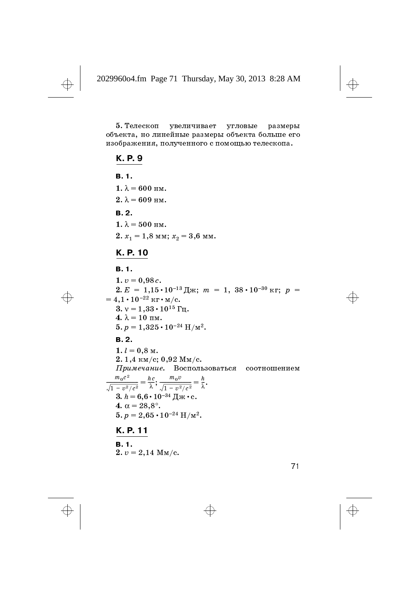5. Телескоп увеличивает угловые размеры объекта, но линейные размеры объекта больше его изображения, полученного с помощью телескопа.

# **K.P.9**

- **B.1.** 1.  $\lambda = 600$  HM.  $2. \lambda = 609$  HM. **B.2.** 1.  $\lambda = 500$  HM. 2.  $x_1 = 1, 8$  MM;  $x_2 = 3, 6$  MM. K. P. 10 **B.1.** 1.  $v = 0,98c$ . 2.  $E = 1,15 \cdot 10^{-13}$   $\text{H}_{\text{K}}$ ;  $m = 1,38 \cdot 10^{-30}$  KF;  $p =$  $= 4,1 \cdot 10^{-22}$  KT  $\cdot$  M/c. 3.  $v = 1,33 \cdot 10^{15}$   $\Gamma$ H.  $4. \lambda = 10$  nm. 5.  $p = 1,325 \cdot 10^{-24}$  H/m<sup>2</sup>.  $B.2.$ 1.  $l = 0.8$  M.
- $2.1,4 \text{ km/c}; 0.92 \text{ Mm/c}.$ Примечание. Воспользоваться соотношением  $\frac{m_0 c^2}{\sqrt{1 - v^2/c^2}} = \frac{hc}{\lambda}; \frac{m_0 v}{\sqrt{1 - v^2/c^2}} = \frac{h}{\lambda}.$ 3.  $h = 6.6 \cdot 10^{-34}$   $\text{H}_{\text{2K}} \cdot \text{c}$ . 4.  $\alpha = 28.8^{\circ}$ . 5.  $p = 2.65 \cdot 10^{-24}$  H/m<sup>2</sup>.

# **K.P.11**

 $B.1.$ 2.  $v = 2,14$  M<sub>M</sub>/c.

 $71$ 

 $\bigoplus$ 

 $\Rightarrow$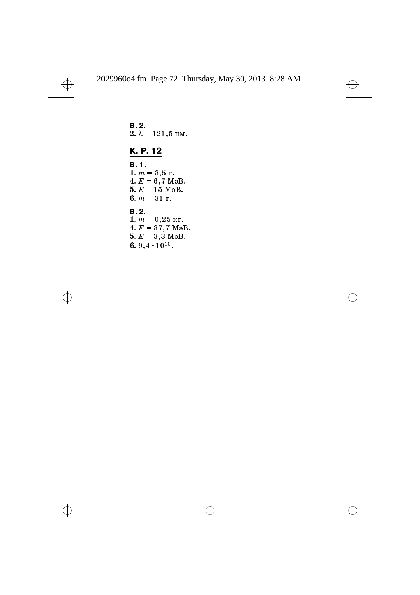$\color{black} \bigoplus$ 

 $\Rightarrow$ 

 $B.2.$  $2. \lambda = 121, 5$  HM. K. P. 12  $B.1.$ 1.  $m = 3.5$  r.  $4. E = 6.7$  MaB.  $5. E = 15$  M<sub>3</sub>B. 6.  $m = 31$  r.  $B.2.$  $1. m = 0,25 \text{ Kr}.$  $4. E = 37, 7$  MaB.  $5. E = 3.3 M<sub>3</sub>B$ . 6.  $9,4 \cdot 10^{10}$ .

 $\Rightarrow$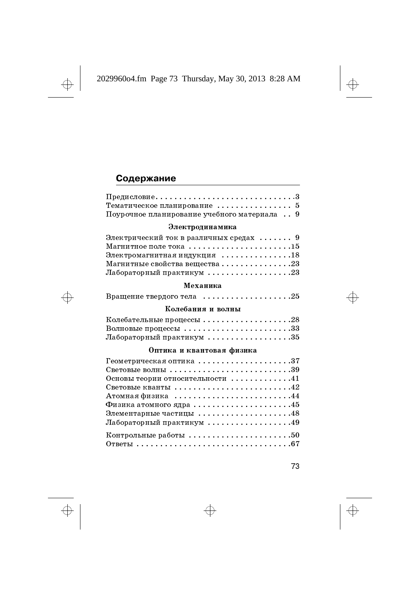

# Содержание

| Поурочное планирование учебного материала. 9                                                                                                                                                                                                            |  |  |  |
|---------------------------------------------------------------------------------------------------------------------------------------------------------------------------------------------------------------------------------------------------------|--|--|--|
| Электродинамика                                                                                                                                                                                                                                         |  |  |  |
| Электрический ток в различных средах $\,\ldots\,\ldots\,9$<br>Магнитное поле тока $\,\ldots\ldots\ldots\ldots\ldots\ldots\,15$<br>Электромагнитная индукция $\dots\dots\dots\dots 18$<br>Лабораторный практикум $\ldots \ldots \ldots \ldots \ldots 23$ |  |  |  |
| Механика                                                                                                                                                                                                                                                |  |  |  |
| Вращение твердого тела 25                                                                                                                                                                                                                               |  |  |  |
| Колебания и волны                                                                                                                                                                                                                                       |  |  |  |
| Волновые процессы $\ldots \ldots \ldots \ldots \ldots \ldots \ldots 33$<br>Лабораторный практикум $\ldots \ldots \ldots \ldots \ldots 35$                                                                                                               |  |  |  |
| Оптика и квантовая физика                                                                                                                                                                                                                               |  |  |  |
| Геометрическая оптика37                                                                                                                                                                                                                                 |  |  |  |

| Основы теории относительности 41                                      |
|-----------------------------------------------------------------------|
| Световые кванты $\ldots \ldots \ldots \ldots \ldots \ldots \ldots 42$ |
|                                                                       |
| Физика атомного ядра45                                                |
| Элементарные частицы $\ldots \ldots \ldots \ldots \ldots 48$          |
| Лабораторный практикум $\dots\dots\dots\dots\dots 49$                 |
| Контрольные работы $\ldots \ldots \ldots \ldots \ldots \ldots 50$     |
|                                                                       |
|                                                                       |

 $\Rightarrow$ 

73

 $\color{black} \bigoplus$ 

 $\color{red} \bigoplus$ 

 $\color{black} \bigoplus$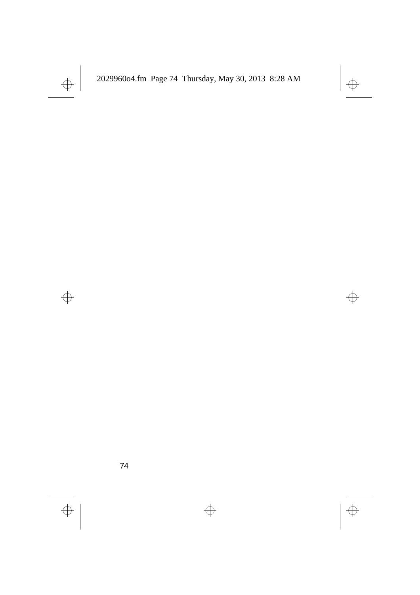

 $\big| \bigoplus$ 



 $\overline{\bigoplus}$ 



 $\color{red} \bigoplus$ 

 $\color{red} \bigoplus$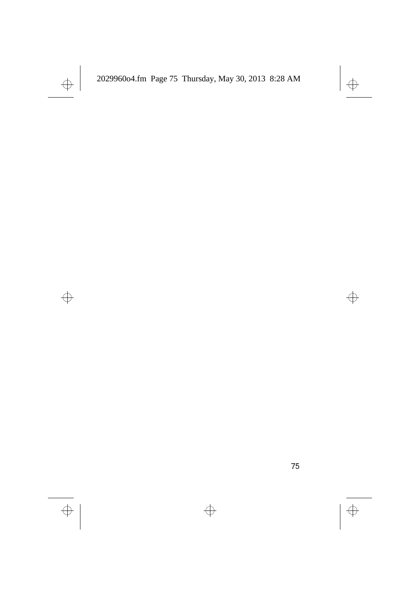

 $\big| \bigoplus$ 



 $\overline{\bigoplus}$ 

 $\Rightarrow$ 

 $\color{red} \bigoplus$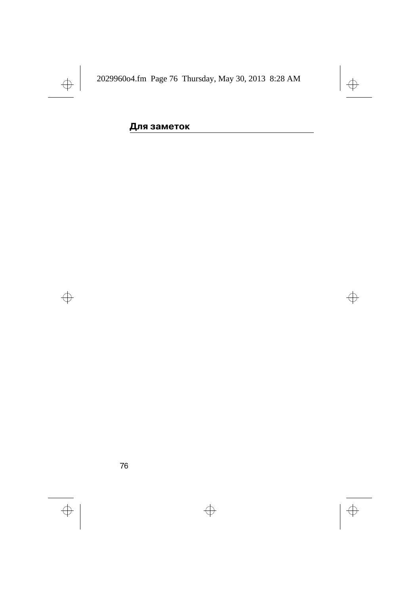

## Для заметок



 $\Rightarrow$ 

 $\color{black} \bigoplus$ 

 $\color{black} \bigoplus$